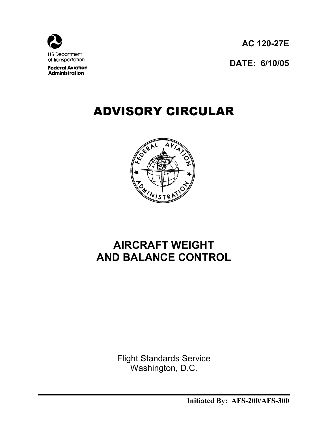

**Federal Aviation Administration** 

**AC 120-27E** 

**DATE: 6/10/05** 

# ADVISORY CIRCULAR



# **AIRCRAFT WEIGHT AND BALANCE CONTROL**

Flight Standards Service Washington, D.C.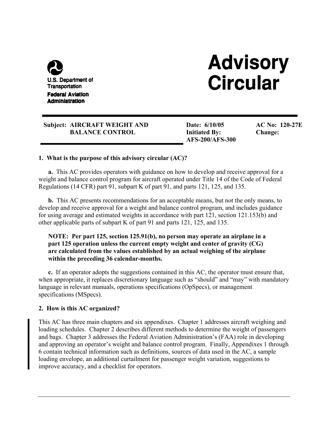

# **Advisory Circular**

| <b>Subject: AIRCRAFT WEIGHT AND</b> | Date: $6/10/05$        | AC No: 120-27E |
|-------------------------------------|------------------------|----------------|
| <b>BALANCE CONTROL</b>              | <b>Initiated By:</b>   | <b>Change:</b> |
|                                     | <b>AFS-200/AFS-300</b> |                |

#### **1. What is the purpose of this advisory circular (AC)?**

**a.** This AC provides operators with guidance on how to develop and receive approval for a weight and balance control program for aircraft operated under Title 14 of the Code of Federal Regulations (14 CFR) part 91, subpart K of part 91, and parts 121, 125, and 135.

**b.** This AC presents recommendations for an acceptable means, but not the only means, to develop and receive approval for a weight and balance control program, and includes guidance for using average and estimated weights in accordance with part 121, section 121.153(b) and other applicable parts of subpart K of part 91 and parts 121, 125, and 135.

#### **NOTE: Per part 125, section 125.91(b), no person may operate an airplane in a part 125 operation unless the current empty weight and center of gravity (CG) are calculated from the values established by an actual weighing of the airplane within the preceding 36 calendar-months.**

**c.** If an operator adopts the suggestions contained in this AC, the operator must ensure that, when appropriate, it replaces discretionary language such as "should" and "may" with mandatory language in relevant manuals, operations specifications (OpSpecs), or management specifications (MSpecs).

#### **2. How is this AC organized?**

This AC has three main chapters and six appendixes. Chapter 1 addresses aircraft weighing and loading schedules. Chapter 2 describes different methods to determine the weight of passengers and bags. Chapter 3 addresses the Federal Aviation Administration's (FAA) role in developing and approving an operator's weight and balance control program. Finally, Appendixes 1 through 6 contain technical information such as definitions, sources of data used in the AC, a sample loading envelope, an additional curtailment for passenger weight variation, suggestions to improve accuracy, and a checklist for operators.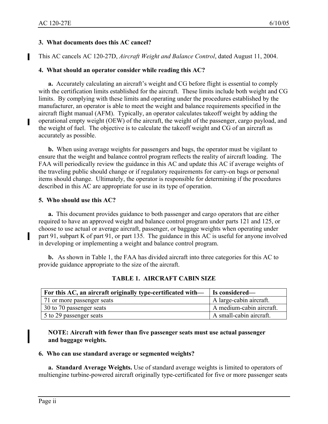Ι

# **3. What documents does this AC cancel?**

This AC cancels AC 120-27D, *Aircraft Weight and Balance Control*, dated August 11, 2004.

# **4. What should an operator consider while reading this AC?**

**a.** Accurately calculating an aircraft's weight and CG before flight is essential to comply with the certification limits established for the aircraft. These limits include both weight and CG limits. By complying with these limits and operating under the procedures established by the manufacturer, an operator is able to meet the weight and balance requirements specified in the aircraft flight manual (AFM). Typically, an operator calculates takeoff weight by adding the operational empty weight (OEW) of the aircraft, the weight of the passenger, cargo payload, and the weight of fuel. The objective is to calculate the takeoff weight and CG of an aircraft as accurately as possible.

**b.** When using average weights for passengers and bags, the operator must be vigilant to ensure that the weight and balance control program reflects the reality of aircraft loading. The FAA will periodically review the guidance in this AC and update this AC if average weights of the traveling public should change or if regulatory requirements for carry-on bags or personal items should change. Ultimately, the operator is responsible for determining if the procedures described in this AC are appropriate for use in its type of operation.

# **5. Who should use this AC?**

**a.** This document provides guidance to both passenger and cargo operators that are either required to have an approved weight and balance control program under parts 121 and 125, or choose to use actual or average aircraft, passenger, or baggage weights when operating under part 91, subpart K of part 91, or part 135. The guidance in this AC is useful for anyone involved in developing or implementing a weight and balance control program.

**b.** As shown in Table 1, the FAA has divided aircraft into three categories for this AC to provide guidance appropriate to the size of the aircraft.

| For this AC, an aircraft originally type-certificated with— | Is considered—           |
|-------------------------------------------------------------|--------------------------|
| 71 or more passenger seats                                  | A large-cabin aircraft.  |
| 30 to 70 passenger seats                                    | A medium-cabin aircraft. |
| 5 to 29 passenger seats                                     | A small-cabin aircraft.  |

# **TABLE 1. AIRCRAFT CABIN SIZE**

**NOTE: Aircraft with fewer than five passenger seats must use actual passenger and baggage weights.** 

# **6. Who can use standard average or segmented weights?**

**a. Standard Average Weights.** Use of standard average weights is limited to operators of multiengine turbine-powered aircraft originally type-certificated for five or more passenger seats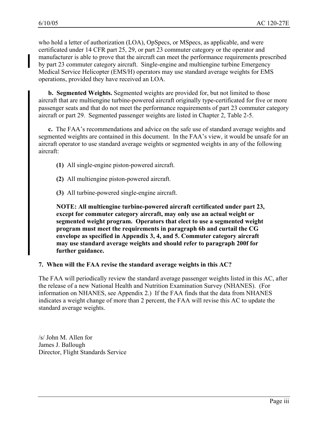who hold a letter of authorization (LOA), OpSpecs, or MSpecs, as applicable, and were certificated under 14 CFR part 25, 29, or part 23 commuter category or the operator and manufacturer is able to prove that the aircraft can meet the performance requirements prescribed by part 23 commuter category aircraft. Single-engine and multiengine turbine Emergency Medical Service Helicopter (EMS/H) operators may use standard average weights for EMS operations, provided they have received an LOA.

**b. Segmented Weights.** Segmented weights are provided for, but not limited to those aircraft that are multiengine turbine-powered aircraft originally type-certificated for five or more passenger seats and that do not meet the performance requirements of part 23 commuter category aircraft or part 29. Segmented passenger weights are listed in Chapter 2, Table 2-5.

**c.** The FAA's recommendations and advice on the safe use of standard average weights and segmented weights are contained in this document. In the FAA's view, it would be unsafe for an aircraft operator to use standard average weights or segmented weights in any of the following aircraft:

- **(1)** All single-engine piston-powered aircraft.
- **(2)** All multiengine piston-powered aircraft.
- **(3)** All turbine-powered single-engine aircraft.

**NOTE: All multiengine turbine-powered aircraft certificated under part 23, except for commuter category aircraft, may only use an actual weight or segmented weight program. Operators that elect to use a segmented weight program must meet the requirements in paragraph 6b and curtail the CG envelope as specified in Appendix 3, 4, and 5. Commuter category aircraft may use standard average weights and should refer to paragraph 200f for further guidance.** 

#### **7. When will the FAA revise the standard average weights in this AC?**

The FAA will periodically review the standard average passenger weights listed in this AC, after the release of a new National Health and Nutrition Examination Survey (NHANES). (For information on NHANES, see Appendix 2.) If the FAA finds that the data from NHANES indicates a weight change of more than 2 percent, the FAA will revise this AC to update the standard average weights.

/s/ John M. Allen for James J. Ballough Director, Flight Standards Service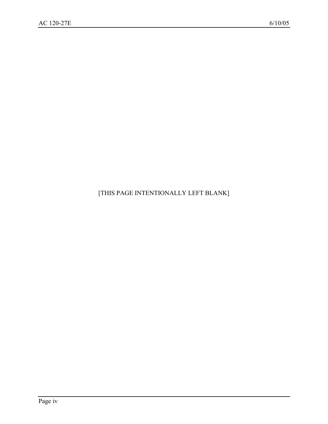# [THIS PAGE INTENTIONALLY LEFT BLANK]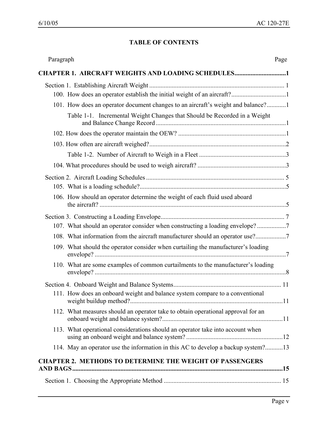# **TABLE OF CONTENTS**

| Paragraph |                                                                                   | Page |
|-----------|-----------------------------------------------------------------------------------|------|
|           | <b>CHAPTER 1. AIRCRAFT WEIGHTS AND LOADING SCHEDULES1</b>                         |      |
|           |                                                                                   |      |
|           |                                                                                   |      |
|           | 101. How does an operator document changes to an aircraft's weight and balance?1  |      |
|           | Table 1-1. Incremental Weight Changes that Should be Recorded in a Weight         |      |
|           |                                                                                   |      |
|           |                                                                                   |      |
|           |                                                                                   |      |
|           |                                                                                   |      |
|           |                                                                                   |      |
|           | 106. How should an operator determine the weight of each fluid used aboard        |      |
|           |                                                                                   |      |
|           | 107. What should an operator consider when constructing a loading envelope?7      |      |
|           | 108. What information from the aircraft manufacturer should an operator use?7     |      |
|           | 109. What should the operator consider when curtailing the manufacturer's loading |      |
|           | 110. What are some examples of common curtailments to the manufacturer's loading  |      |
|           |                                                                                   |      |
|           | 111. How does an onboard weight and balance system compare to a conventional      |      |
|           | 112. What measures should an operator take to obtain operational approval for an  |      |
|           | 113. What operational considerations should an operator take into account when    |      |
|           | 114. May an operator use the information in this AC to develop a backup system?13 |      |
|           | <b>CHAPTER 2. METHODS TO DETERMINE THE WEIGHT OF PASSENGERS</b>                   |      |
|           |                                                                                   |      |
|           |                                                                                   |      |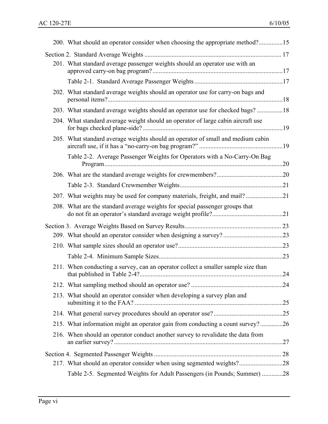| 200. What should an operator consider when choosing the appropriate method?15     |  |
|-----------------------------------------------------------------------------------|--|
|                                                                                   |  |
| 201. What standard average passenger weights should an operator use with an       |  |
|                                                                                   |  |
| 202. What standard average weights should an operator use for carry-on bags and   |  |
| 203. What standard average weights should an operator use for checked bags? 18    |  |
| 204. What standard average weight should an operator of large cabin aircraft use  |  |
| 205. What standard average weights should an operator of small and medium cabin   |  |
| Table 2-2. Average Passenger Weights for Operators with a No-Carry-On Bag         |  |
|                                                                                   |  |
|                                                                                   |  |
| 207. What weights may be used for company materials, freight, and mail?21         |  |
| 208. What are the standard average weights for special passenger groups that      |  |
|                                                                                   |  |
|                                                                                   |  |
|                                                                                   |  |
|                                                                                   |  |
| 211. When conducting a survey, can an operator collect a smaller sample size than |  |
|                                                                                   |  |
| 213. What should an operator consider when developing a survey plan and           |  |
|                                                                                   |  |
| 215. What information might an operator gain from conducting a count survey?26    |  |
| 216. When should an operator conduct another survey to revalidate the data from   |  |
|                                                                                   |  |
| 217. What should an operator consider when using segmented weights?28             |  |
| Table 2-5. Segmented Weights for Adult Passengers (in Pounds; Summer) 28          |  |
|                                                                                   |  |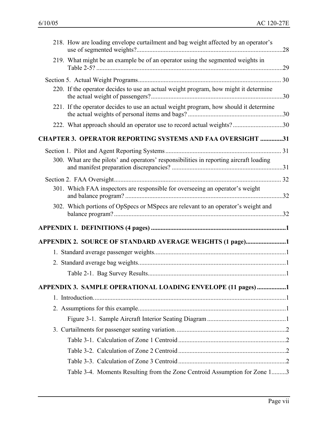| 218. How are loading envelope curtailment and bag weight affected by an operator's      |     |
|-----------------------------------------------------------------------------------------|-----|
| 219. What might be an example be of an operator using the segmented weights in          | .29 |
|                                                                                         |     |
| 220. If the operator decides to use an actual weight program, how might it determine    |     |
| 221. If the operator decides to use an actual weight program, how should it determine   |     |
| 222. What approach should an operator use to record actual weights?30                   |     |
| <b>CHAPTER 3. OPERATOR REPORTING SYSTEMS AND FAA OVERSIGHT 31</b>                       |     |
|                                                                                         |     |
| 300. What are the pilots' and operators' responsibilities in reporting aircraft loading |     |
|                                                                                         |     |
| 301. Which FAA inspectors are responsible for overseeing an operator's weight           |     |
| 302. Which portions of OpSpecs or MSpecs are relevant to an operator's weight and       |     |
|                                                                                         |     |
| APPENDIX 2. SOURCE OF STANDARD AVERAGE WEIGHTS (1 page)1                                |     |
|                                                                                         |     |
|                                                                                         |     |
|                                                                                         |     |
| APPENDIX 3. SAMPLE OPERATIONAL LOADING ENVELOPE (11 pages) 1                            |     |
|                                                                                         |     |
|                                                                                         |     |
|                                                                                         |     |
|                                                                                         |     |
|                                                                                         |     |
|                                                                                         |     |
|                                                                                         |     |
| Table 3-4. Moments Resulting from the Zone Centroid Assumption for Zone 13              |     |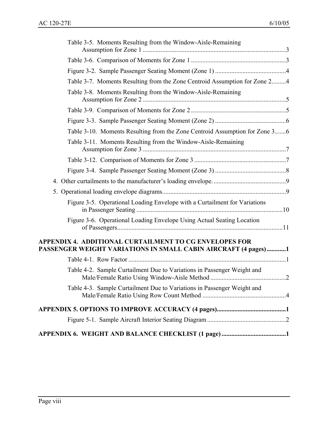| Table 3-5. Moments Resulting from the Window-Aisle-Remaining                                                                    |
|---------------------------------------------------------------------------------------------------------------------------------|
|                                                                                                                                 |
|                                                                                                                                 |
| Table 3-7. Moments Resulting from the Zone Centroid Assumption for Zone 24                                                      |
| Table 3-8. Moments Resulting from the Window-Aisle-Remaining                                                                    |
|                                                                                                                                 |
|                                                                                                                                 |
| Table 3-10. Moments Resulting from the Zone Centroid Assumption for Zone 36                                                     |
| Table 3-11. Moments Resulting from the Window-Aisle-Remaining                                                                   |
|                                                                                                                                 |
|                                                                                                                                 |
|                                                                                                                                 |
|                                                                                                                                 |
| Figure 3-5. Operational Loading Envelope with a Curtailment for Variations                                                      |
| Figure 3-6. Operational Loading Envelope Using Actual Seating Location                                                          |
| <b>APPENDIX 4. ADDITIONAL CURTAILMENT TO CG ENVELOPES FOR</b><br>PASSENGER WEIGHT VARIATIONS IN SMALL CABIN AIRCRAFT (4 pages)1 |
|                                                                                                                                 |
| Table 4-2. Sample Curtailment Due to Variations in Passenger Weight and                                                         |
| Table 4-3. Sample Curtailment Due to Variations in Passenger Weight and                                                         |
|                                                                                                                                 |
|                                                                                                                                 |
|                                                                                                                                 |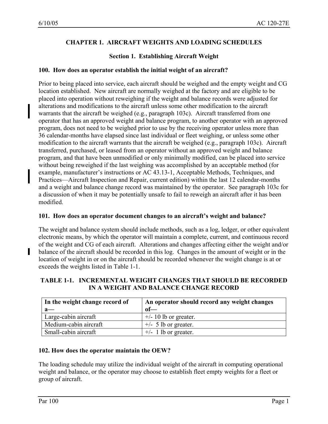# <span id="page-10-0"></span>**CHAPTER 1. AIRCRAFT WEIGHTS AND LOADING SCHEDULES**

# **Section 1. Establishing Aircraft Weight**

#### **100. How does an operator establish the initial weight of an aircraft?**

Prior to being placed into service, each aircraft should be weighed and the empty weight and CG location established. New aircraft are normally weighed at the factory and are eligible to be placed into operation without reweighing if the weight and balance records were adjusted for alterations and modifications to the aircraft unless some other modification to the aircraft warrants that the aircraft be weighed (e.g., paragraph 103c). Aircraft transferred from one operator that has an approved weight and balance program, to another operator with an approved program, does not need to be weighed prior to use by the receiving operator unless more than 36 calendar-months have elapsed since last individual or fleet weighing, or unless some other modification to the aircraft warrants that the aircraft be weighed (e.g., paragraph 103c). Aircraft transferred, purchased, or leased from an operator without an approved weight and balance program, and that have been unmodified or only minimally modified, can be placed into service without being reweighed if the last weighing was accomplished by an acceptable method (for example, manufacturer's instructions or AC 43.13-1, Acceptable Methods, Techniques, and Practices—Aircraft Inspection and Repair, current edition) within the last 12 calendar-months and a weight and balance change record was maintained by the operator. See paragraph 103c for a discussion of when it may be potentially unsafe to fail to reweigh an aircraft after it has been modified.

#### **101. How does an operator document changes to an aircraft's weight and balance?**

The weight and balance system should include methods, such as a log, ledger, or other equivalent electronic means, by which the operator will maintain a complete, current, and continuous record of the weight and CG of each aircraft. Alterations and changes affecting either the weight and/or balance of the aircraft should be recorded in this log. Changes in the amount of weight or in the location of weight in or on the aircraft should be recorded whenever the weight change is at or exceeds the weights listed in Table 1-1.

#### **TABLE 1-1. INCREMENTAL WEIGHT CHANGES THAT SHOULD BE RECORDED IN A WEIGHT AND BALANCE CHANGE RECORD**

| In the weight change record of | An operator should record any weight changes |  |
|--------------------------------|----------------------------------------------|--|
| $a-$                           | of                                           |  |
| Large-cabin aircraft           | $+/- 10$ lb or greater.                      |  |
| Medium-cabin aircraft          | $+/-$ 5 lb or greater.                       |  |
| Small-cabin aircraft           | $+/-$ 1 lb or greater.                       |  |

# **102. How does the operator maintain the OEW?**

The loading schedule may utilize the individual weight of the aircraft in computing operational weight and balance, or the operator may choose to establish fleet empty weights for a fleet or group of aircraft.

Π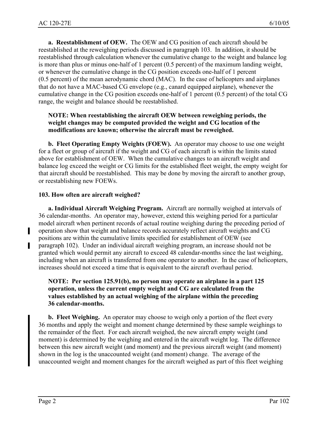<span id="page-11-0"></span>**a. Reestablishment of OEW.** The OEW and CG position of each aircraft should be reestablished at the reweighing periods discussed in paragraph 103. In addition, it should be reestablished through calculation whenever the cumulative change to the weight and balance log is more than plus or minus one-half of 1 percent (0.5 percent) of the maximum landing weight, or whenever the cumulative change in the CG position exceeds one-half of 1 percent (0.5 percent) of the mean aerodynamic chord (MAC). In the case of helicopters and airplanes that do not have a MAC-based CG envelope (e.g., canard equipped airplane), whenever the cumulative change in the CG position exceeds one-half of 1 percent (0.5 percent) of the total CG range, the weight and balance should be reestablished.

# **NOTE: When reestablishing the aircraft OEW between reweighing periods, the weight changes may be computed provided the weight and CG location of the modifications are known; otherwise the aircraft must be reweighed.**

**b. Fleet Operating Empty Weights (FOEW).** An operator may choose to use one weight for a fleet or group of aircraft if the weight and CG of each aircraft is within the limits stated above for establishment of OEW. When the cumulative changes to an aircraft weight and balance log exceed the weight or CG limits for the established fleet weight, the empty weight for that aircraft should be reestablished. This may be done by moving the aircraft to another group, or reestablishing new FOEWs.

# **103. How often are aircraft weighed?**

**a. Individual Aircraft Weighing Program.** Aircraft are normally weighed at intervals of 36 calendar-months. An operator may, however, extend this weighing period for a particular model aircraft when pertinent records of actual routine weighing during the preceding period of operation show that weight and balance records accurately reflect aircraft weights and CG positions are within the cumulative limits specified for establishment of OEW (see paragraph 102). Under an individual aircraft weighing program, an increase should not be granted which would permit any aircraft to exceed 48 calendar-months since the last weighing, including when an aircraft is transferred from one operator to another. In the case of helicopters, increases should not exceed a time that is equivalent to the aircraft overhaul period.

# **NOTE: Per section 125.91(b), no person may operate an airplane in a part 125 operation, unless the current empty weight and CG are calculated from the values established by an actual weighing of the airplane within the preceding 36 calendar-months.**

**b. Fleet Weighing.** An operator may choose to weigh only a portion of the fleet every 36 months and apply the weight and moment change determined by these sample weighings to the remainder of the fleet. For each aircraft weighed, the new aircraft empty weight (and moment) is determined by the weighing and entered in the aircraft weight log. The difference between this new aircraft weight (and moment) and the previous aircraft weight (and moment) shown in the log is the unaccounted weight (and moment) change. The average of the unaccounted weight and moment changes for the aircraft weighed as part of this fleet weighing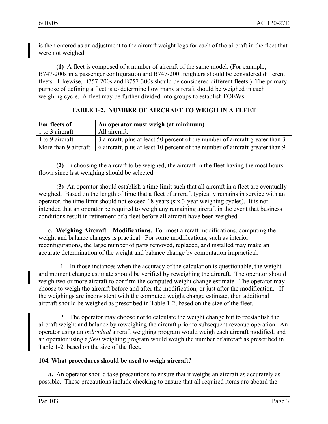<span id="page-12-0"></span>is then entered as an adjustment to the aircraft weight logs for each of the aircraft in the fleet that were not weighed.

**(1)** A fleet is composed of a number of aircraft of the same model. (For example, B747-200s in a passenger configuration and B747-200 freighters should be considered different fleets. Likewise, B757-200s and B757-300s should be considered different fleets.) The primary purpose of defining a fleet is to determine how many aircraft should be weighed in each weighing cycle. A fleet may be further divided into groups to establish FOEWs.

| For fleets of-       | An operator must weigh (at minimum)—                                           |
|----------------------|--------------------------------------------------------------------------------|
| 1 to 3 aircraft      | All aircraft.                                                                  |
| 4 to 9 aircraft      | 3 aircraft, plus at least 50 percent of the number of aircraft greater than 3. |
| More than 9 aircraft | 6 aircraft, plus at least 10 percent of the number of aircraft greater than 9. |

# **TABLE 1-2. NUMBER OF AIRCRAFT TO WEIGH IN A FLEET**

**(2)** In choosing the aircraft to be weighed, the aircraft in the fleet having the most hours flown since last weighing should be selected.

**(3)** An operator should establish a time limit such that all aircraft in a fleet are eventually weighed. Based on the length of time that a fleet of aircraft typically remains in service with an operator, the time limit should not exceed 18 years (six 3-year weighing cycles). It is not intended that an operator be required to weigh any remaining aircraft in the event that business conditions result in retirement of a fleet before all aircraft have been weighed.

**c. Weighing AircraftModifications.** For most aircraft modifications, computing the weight and balance changes is practical. For some modifications, such as interior reconfigurations, the large number of parts removed, replaced, and installed may make an accurate determination of the weight and balance change by computation impractical.

1. In those instances when the accuracy of the calculation is questionable, the weight and moment change estimate should be verified by reweighing the aircraft. The operator should weigh two or more aircraft to confirm the computed weight change estimate. The operator may choose to weigh the aircraft before and after the modification, or just after the modification. If the weighings are inconsistent with the computed weight change estimate, then additional aircraft should be weighed as prescribed in Table 1-2, based on the size of the fleet.

2. The operator may choose not to calculate the weight change but to reestablish the aircraft weight and balance by reweighing the aircraft prior to subsequent revenue operation. An operator using an *individual* aircraft weighing program would weigh each aircraft modified, and an operator using a *fleet* weighing program would weigh the number of aircraft as prescribed in Table 1-2, based on the size of the fleet.

# **104. What procedures should be used to weigh aircraft?**

**a.** An operator should take precautions to ensure that it weighs an aircraft as accurately as possible. These precautions include checking to ensure that all required items are aboard the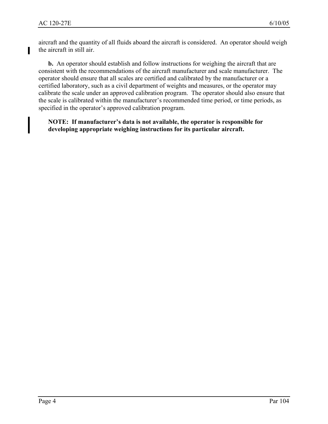I

aircraft and the quantity of all fluids aboard the aircraft is considered. An operator should weigh the aircraft in still air.

**b.** An operator should establish and follow instructions for weighing the aircraft that are consistent with the recommendations of the aircraft manufacturer and scale manufacturer. The operator should ensure that all scales are certified and calibrated by the manufacturer or a certified laboratory, such as a civil department of weights and measures, or the operator may calibrate the scale under an approved calibration program. The operator should also ensure that the scale is calibrated within the manufacturer's recommended time period, or time periods, as specified in the operator's approved calibration program.

**NOTE: If manufacturer's data is not available, the operator is responsible for developing appropriate weighing instructions for its particular aircraft.**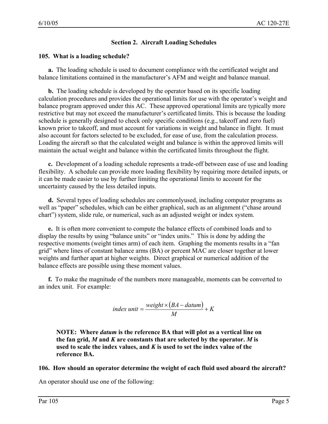# **Section 2. Aircraft Loading Schedules**

#### <span id="page-14-0"></span>**105. What is a loading schedule?**

**a.** The loading schedule is used to document compliance with the certificated weight and balance limitations contained in the manufacturer's AFM and weight and balance manual.

**b.** The loading schedule is developed by the operator based on its specific loading calculation procedures and provides the operational limits for use with the operator's weight and balance program approved under this AC. These approved operational limits are typically more restrictive but may not exceed the manufacturer's certificated limits. This is because the loading schedule is generally designed to check only specific conditions (e.g., takeoff and zero fuel) known prior to takeoff, and must account for variations in weight and balance in flight. It must also account for factors selected to be excluded, for ease of use, from the calculation process. Loading the aircraft so that the calculated weight and balance is within the approved limits will maintain the actual weight and balance within the certificated limits throughout the flight.

**c.** Development of a loading schedule represents a trade-off between ease of use and loading flexibility. A schedule can provide more loading flexibility by requiring more detailed inputs, or it can be made easier to use by further limiting the operational limits to account for the uncertainty caused by the less detailed inputs.

**d.** Several types of loading schedules are commonlyused, including computer programs as well as "paper" schedules, which can be either graphical, such as an alignment ("chase around chart") system, slide rule, or numerical, such as an adjusted weight or index system.

**e.** It is often more convenient to compute the balance effects of combined loads and to display the results by using "balance units" or "index units." This is done by adding the respective moments (weight times arm) of each item. Graphing the moments results in a "fan grid" where lines of constant balance arms (BA) or percent MAC are closer together at lower weights and further apart at higher weights. Direct graphical or numerical addition of the balance effects are possible using these moment values.

**f.** To make the magnitude of the numbers more manageable, moments can be converted to an index unit. For example:

index unit = 
$$
\frac{weight \times (BA - datum)}{M} + K
$$

**NOTE: Where** *datum* **is the reference BA that will plot as a vertical line on the fan grid,** *M* **and** *K* **are constants that are selected by the operator.** *M* **is used to scale the index values, and** *K* **is used to set the index value of the reference BA.** 

#### **106. How should an operator determine the weight of each fluid used aboard the aircraft?**

An operator should use one of the following: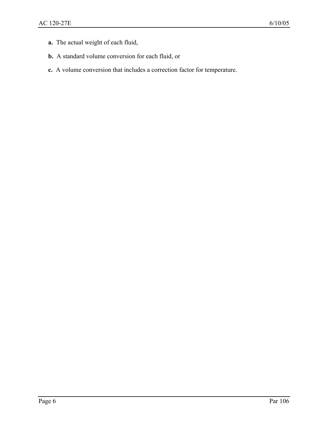- **a.** The actual weight of each fluid,
- **b.** A standard volume conversion for each fluid, or
- **c.** A volume conversion that includes a correction factor for temperature.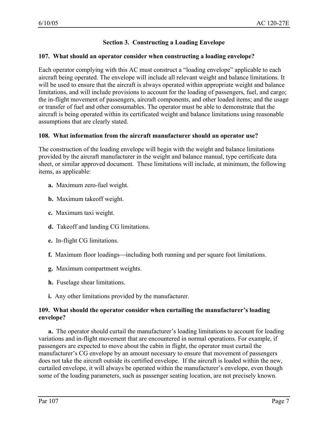# **Section 3. Constructing a Loading Envelope**

#### <span id="page-16-0"></span>**107. What should an operator consider when constructing a loading envelope?**

Each operator complying with this AC must construct a "loading envelope" applicable to each aircraft being operated. The envelope will include all relevant weight and balance limitations. It will be used to ensure that the aircraft is always operated within appropriate weight and balance limitations, and will include provisions to account for the loading of passengers, fuel, and cargo; the in-flight movement of passengers, aircraft components, and other loaded items; and the usage or transfer of fuel and other consumables. The operator must be able to demonstrate that the aircraft is being operated within its certificated weight and balance limitations using reasonable assumptions that are clearly stated.

#### **108. What information from the aircraft manufacturer should an operator use?**

The construction of the loading envelope will begin with the weight and balance limitations provided by the aircraft manufacturer in the weight and balance manual, type certificate data sheet, or similar approved document. These limitations will include, at minimum, the following items, as applicable:

- **a.** Maximum zero-fuel weight.
- **b.** Maximum takeoff weight.
- **c.** Maximum taxi weight.
- **d.** Takeoff and landing CG limitations.
- **e.** In-flight CG limitations.
- **f.** Maximum floor loadings—including both running and per square foot limitations.
- **g.** Maximum compartment weights.
- **h.** Fuselage shear limitations.
- **i.** Any other limitations provided by the manufacturer.

#### **109. What should the operator consider when curtailing the manufacturer's loading envelope?**

**a.** The operator should curtail the manufacturer's loading limitations to account for loading variations and in-flight movement that are encountered in normal operations. For example, if passengers are expected to move about the cabin in flight, the operator must curtail the manufacturer's CG envelope by an amount necessary to ensure that movement of passengers does not take the aircraft outside its certified envelope. If the aircraft is loaded within the new, curtailed envelope, it will always be operated within the manufacturer's envelope, even though some of the loading parameters, such as passenger seating location, are not precisely known.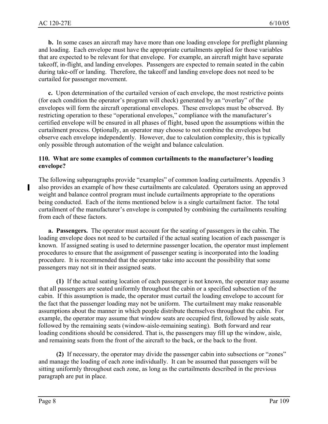Π

<span id="page-17-0"></span>**b.** In some cases an aircraft may have more than one loading envelope for preflight planning and loading. Each envelope must have the appropriate curtailments applied for those variables that are expected to be relevant for that envelope. For example, an aircraft might have separate takeoff, in-flight, and landing envelopes. Passengers are expected to remain seated in the cabin during take-off or landing. Therefore, the takeoff and landing envelope does not need to be curtailed for passenger movement.

**c.** Upon determination of the curtailed version of each envelope, the most restrictive points (for each condition the operator's program will check) generated by an "overlay" of the envelopes will form the aircraft operational envelopes. These envelopes must be observed. By restricting operation to these "operational envelopes," compliance with the manufacturer's certified envelope will be ensured in all phases of flight, based upon the assumptions within the curtailment process. Optionally, an operator may choose to not combine the envelopes but observe each envelope independently. However, due to calculation complexity, this is typically only possible through automation of the weight and balance calculation.

#### **110. What are some examples of common curtailments to the manufacturer's loading envelope?**

The following subparagraphs provide "examples" of common loading curtailments. Appendix 3 also provides an example of how these curtailments are calculated. Operators using an approved weight and balance control program must include curtailments appropriate to the operations being conducted. Each of the items mentioned below is a single curtailment factor. The total curtailment of the manufacturer's envelope is computed by combining the curtailments resulting from each of these factors.

**a. Passengers.** The operator must account for the seating of passengers in the cabin. The loading envelope does not need to be curtailed if the actual seating location of each passenger is known. If assigned seating is used to determine passenger location, the operator must implement procedures to ensure that the assignment of passenger seating is incorporated into the loading procedure. It is recommended that the operator take into account the possibility that some passengers may not sit in their assigned seats.

**(1)** If the actual seating location of each passenger is not known, the operator may assume that all passengers are seated uniformly throughout the cabin or a specified subsection of the cabin. If this assumption is made, the operator must curtail the loading envelope to account for the fact that the passenger loading may not be uniform. The curtailment may make reasonable assumptions about the manner in which people distribute themselves throughout the cabin. For example, the operator may assume that window seats are occupied first, followed by aisle seats, followed by the remaining seats (window-aisle-remaining seating). Both forward and rear loading conditions should be considered. That is, the passengers may fill up the window, aisle, and remaining seats from the front of the aircraft to the back, or the back to the front.

**(2)** If necessary, the operator may divide the passenger cabin into subsections or "zones" and manage the loading of each zone individually. It can be assumed that passengers will be sitting uniformly throughout each zone, as long as the curtailments described in the previous paragraph are put in place.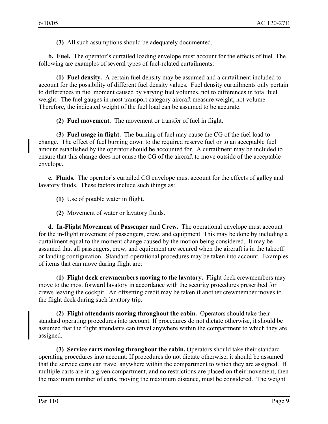**(3)** All such assumptions should be adequately documented.

**b. Fuel.** The operator's curtailed loading envelope must account for the effects of fuel. The following are examples of several types of fuel-related curtailments:

**(1) Fuel density.** A certain fuel density may be assumed and a curtailment included to account for the possibility of different fuel density values. Fuel density curtailments only pertain to differences in fuel moment caused by varying fuel volumes, not to differences in total fuel weight. The fuel gauges in most transport category aircraft measure weight, not volume. Therefore, the indicated weight of the fuel load can be assumed to be accurate.

**(2) Fuel movement.** The movement or transfer of fuel in flight.

**(3) Fuel usage in flight.** The burning of fuel may cause the CG of the fuel load to change. The effect of fuel burning down to the required reserve fuel or to an acceptable fuel amount established by the operator should be accounted for. A curtailment may be included to ensure that this change does not cause the CG of the aircraft to move outside of the acceptable envelope.

**c. Fluids.** The operator's curtailed CG envelope must account for the effects of galley and lavatory fluids. These factors include such things as:

**(1)** Use of potable water in flight.

**(2)** Movement of water or lavatory fluids.

**d. In-Flight Movement of Passenger and Crew.** The operational envelope must account for the in-flight movement of passengers, crew, and equipment. This may be done by including a curtailment equal to the moment change caused by the motion being considered. It may be assumed that all passengers, crew, and equipment are secured when the aircraft is in the takeoff or landing configuration. Standard operational procedures may be taken into account. Examples of items that can move during flight are:

**(1) Flight deck crewmembers moving to the lavatory.** Flight deck crewmembers may move to the most forward lavatory in accordance with the security procedures prescribed for crews leaving the cockpit. An offsetting credit may be taken if another crewmember moves to the flight deck during such lavatory trip.

**(2) Flight attendants moving throughout the cabin.** Operators should take their standard operating procedures into account. If procedures do not dictate otherwise, it should be assumed that the flight attendants can travel anywhere within the compartment to which they are assigned.

**(3) Service carts moving throughout the cabin.** Operators should take their standard operating procedures into account. If procedures do not dictate otherwise, it should be assumed that the service carts can travel anywhere within the compartment to which they are assigned. If multiple carts are in a given compartment, and no restrictions are placed on their movement, then the maximum number of carts, moving the maximum distance, must be considered. The weight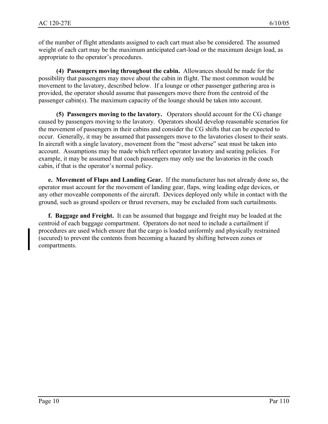of the number of flight attendants assigned to each cart must also be considered. The assumed weight of each cart may be the maximum anticipated cart-load or the maximum design load, as appropriate to the operator's procedures.

**(4) Passengers moving throughout the cabin.** Allowances should be made for the possibility that passengers may move about the cabin in flight. The most common would be movement to the lavatory, described below. If a lounge or other passenger gathering area is provided, the operator should assume that passengers move there from the centroid of the passenger cabin(s). The maximum capacity of the lounge should be taken into account.

**(5) Passengers moving to the lavatory.** Operators should account for the CG change caused by passengers moving to the lavatory. Operators should develop reasonable scenarios for the movement of passengers in their cabins and consider the CG shifts that can be expected to occur. Generally, it may be assumed that passengers move to the lavatories closest to their seats. In aircraft with a single lavatory, movement from the "most adverse" seat must be taken into account. Assumptions may be made which reflect operator lavatory and seating policies. For example, it may be assumed that coach passengers may only use the lavatories in the coach cabin, if that is the operator's normal policy.

**e. Movement of Flaps and Landing Gear.** If the manufacturer has not already done so, the operator must account for the movement of landing gear, flaps, wing leading edge devices, or any other moveable components of the aircraft. Devices deployed only while in contact with the ground, such as ground spoilers or thrust reversers, may be excluded from such curtailments.

**f. Baggage and Freight.** It can be assumed that baggage and freight may be loaded at the centroid of each baggage compartment. Operators do not need to include a curtailment if procedures are used which ensure that the cargo is loaded uniformly and physically restrained (secured) to prevent the contents from becoming a hazard by shifting between zones or compartments.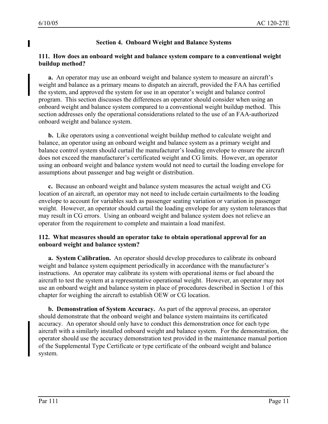<span id="page-20-0"></span>П

# **Section 4. Onboard Weight and Balance Systems**

#### **111. How does an onboard weight and balance system compare to a conventional weight buildup method?**

**a.** An operator may use an onboard weight and balance system to measure an aircraft's weight and balance as a primary means to dispatch an aircraft, provided the FAA has certified the system, and approved the system for use in an operator's weight and balance control program. This section discusses the differences an operator should consider when using an onboard weight and balance system compared to a conventional weight buildup method. This section addresses only the operational considerations related to the use of an FAA-authorized onboard weight and balance system.

**b.** Like operators using a conventional weight buildup method to calculate weight and balance, an operator using an onboard weight and balance system as a primary weight and balance control system should curtail the manufacturer's loading envelope to ensure the aircraft does not exceed the manufacturer's certificated weight and CG limits. However, an operator using an onboard weight and balance system would not need to curtail the loading envelope for assumptions about passenger and bag weight or distribution.

**c.** Because an onboard weight and balance system measures the actual weight and CG location of an aircraft, an operator may not need to include certain curtailments to the loading envelope to account for variables such as passenger seating variation or variation in passenger weight. However, an operator should curtail the loading envelope for any system tolerances that may result in CG errors. Using an onboard weight and balance system does not relieve an operator from the requirement to complete and maintain a load manifest.

#### **112. What measures should an operator take to obtain operational approval for an onboard weight and balance system?**

**a. System Calibration.** An operator should develop procedures to calibrate its onboard weight and balance system equipment periodically in accordance with the manufacturer's instructions. An operator may calibrate its system with operational items or fuel aboard the aircraft to test the system at a representative operational weight. However, an operator may not use an onboard weight and balance system in place of procedures described in Section 1 of this chapter for weighing the aircraft to establish OEW or CG location.

**b. Demonstration of System Accuracy.** As part of the approval process, an operator should demonstrate that the onboard weight and balance system maintains its certificated accuracy. An operator should only have to conduct this demonstration once for each type aircraft with a similarly installed onboard weight and balance system. For the demonstration, the operator should use the accuracy demonstration test provided in the maintenance manual portion of the Supplemental Type Certificate or type certificate of the onboard weight and balance system.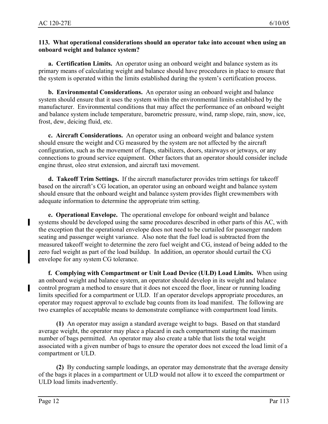#### <span id="page-21-0"></span>**113. What operational considerations should an operator take into account when using an onboard weight and balance system?**

**a. Certification Limits.** An operator using an onboard weight and balance system as its primary means of calculating weight and balance should have procedures in place to ensure that the system is operated within the limits established during the system's certification process.

**b. Environmental Considerations.** An operator using an onboard weight and balance system should ensure that it uses the system within the environmental limits established by the manufacturer. Environmental conditions that may affect the performance of an onboard weight and balance system include temperature, barometric pressure, wind, ramp slope, rain, snow, ice, frost, dew, deicing fluid, etc.

**c. Aircraft Considerations.** An operator using an onboard weight and balance system should ensure the weight and CG measured by the system are not affected by the aircraft configuration, such as the movement of flaps, stabilizers, doors, stairways or jetways, or any connections to ground service equipment. Other factors that an operator should consider include engine thrust, oleo strut extension, and aircraft taxi movement.

**d. Takeoff Trim Settings.** If the aircraft manufacturer provides trim settings for takeoff based on the aircraft's CG location, an operator using an onboard weight and balance system should ensure that the onboard weight and balance system provides flight crewmembers with adequate information to determine the appropriate trim setting.

**e. Operational Envelope.** The operational envelope for onboard weight and balance systems should be developed using the same procedures described in other parts of this AC, with the exception that the operational envelope does not need to be curtailed for passenger random seating and passenger weight variance. Also note that the fuel load is subtracted from the measured takeoff weight to determine the zero fuel weight and CG, instead of being added to the zero fuel weight as part of the load buildup. In addition, an operator should curtail the CG envelope for any system CG tolerance.

**f. Complying with Compartment or Unit Load Device (ULD) Load Limits.** When using an onboard weight and balance system, an operator should develop in its weight and balance control program a method to ensure that it does not exceed the floor, linear or running loading limits specified for a compartment or ULD. If an operator develops appropriate procedures, an operator may request approval to exclude bag counts from its load manifest. The following are two examples of acceptable means to demonstrate compliance with compartment load limits.

**(1)** An operator may assign a standard average weight to bags. Based on that standard average weight, the operator may place a placard in each compartment stating the maximum number of bags permitted. An operator may also create a table that lists the total weight associated with a given number of bags to ensure the operator does not exceed the load limit of a compartment or ULD.

**(2)** By conducting sample loadings, an operator may demonstrate that the average density of the bags it places in a compartment or ULD would not allow it to exceed the compartment or ULD load limits inadvertently.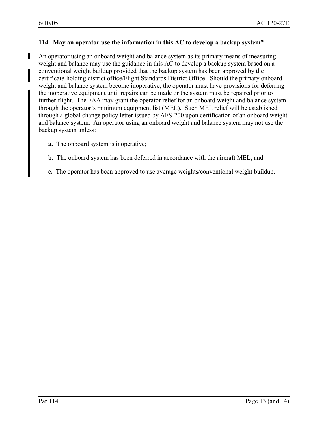Π

#### <span id="page-22-0"></span>**114. May an operator use the information in this AC to develop a backup system?**

An operator using an onboard weight and balance system as its primary means of measuring weight and balance may use the guidance in this AC to develop a backup system based on a conventional weight buildup provided that the backup system has been approved by the certificate-holding district office/Flight Standards District Office. Should the primary onboard weight and balance system become inoperative, the operator must have provisions for deferring the inoperative equipment until repairs can be made or the system must be repaired prior to further flight. The FAA may grant the operator relief for an onboard weight and balance system through the operator's minimum equipment list (MEL). Such MEL relief will be established through a global change policy letter issued by AFS-200 upon certification of an onboard weight and balance system. An operator using an onboard weight and balance system may not use the backup system unless:

- **a.** The onboard system is inoperative;
- **b.** The onboard system has been deferred in accordance with the aircraft MEL; and
- **c.** The operator has been approved to use average weights/conventional weight buildup.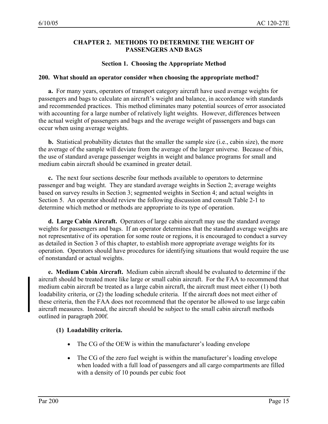# <span id="page-24-0"></span>**CHAPTER 2. METHODS TO DETERMINE THE WEIGHT OF PASSENGERS AND BAGS**

#### **Section 1. Choosing the Appropriate Method**

#### **200. What should an operator consider when choosing the appropriate method?**

**a.** For many years, operators of transport category aircraft have used average weights for passengers and bags to calculate an aircraft's weight and balance, in accordance with standards and recommended practices. This method eliminates many potential sources of error associated with accounting for a large number of relatively light weights. However, differences between the actual weight of passengers and bags and the average weight of passengers and bags can occur when using average weights.

**b.** Statistical probability dictates that the smaller the sample size (i.e., cabin size), the more the average of the sample will deviate from the average of the larger universe. Because of this, the use of standard average passenger weights in weight and balance programs for small and medium cabin aircraft should be examined in greater detail.

**c.** The next four sections describe four methods available to operators to determine passenger and bag weight. They are standard average weights in Section 2; average weights based on survey results in Section 3; segmented weights in Section 4; and actual weights in Section 5. An operator should review the following discussion and consult Table 2-1 to determine which method or methods are appropriate to its type of operation.

**d. Large Cabin Aircraft.** Operators of large cabin aircraft may use the standard average weights for passengers and bags. If an operator determines that the standard average weights are not representative of its operation for some route or regions, it is encouraged to conduct a survey as detailed in Section 3 of this chapter, to establish more appropriate average weights for its operation. Operators should have procedures for identifying situations that would require the use of nonstandard or actual weights.

**e. Medium Cabin Aircraft.** Medium cabin aircraft should be evaluated to determine if the aircraft should be treated more like large or small cabin aircraft. For the FAA to recommend that medium cabin aircraft be treated as a large cabin aircraft, the aircraft must meet either (1) both loadability criteria, or (2) the loading schedule criteria. If the aircraft does not meet either of these criteria, then the FAA does not recommend that the operator be allowed to use large cabin aircraft measures. Instead, the aircraft should be subject to the small cabin aircraft methods outlined in paragraph 200f.

#### **(1) Loadability criteria.**

- The CG of the OEW is within the manufacturer's loading envelope
- The CG of the zero fuel weight is within the manufacturer's loading envelope when loaded with a full load of passengers and all cargo compartments are filled with a density of 10 pounds per cubic foot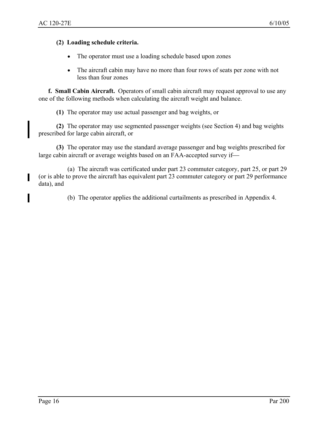I

**(2) Loading schedule criteria.**

- The operator must use a loading schedule based upon zones
- The aircraft cabin may have no more than four rows of seats per zone with not less than four zones

**f. Small Cabin Aircraft.** Operators of small cabin aircraft may request approval to use any one of the following methods when calculating the aircraft weight and balance.

**(1)** The operator may use actual passenger and bag weights, or

**(2)** The operator may use segmented passenger weights (see Section 4) and bag weights prescribed for large cabin aircraft, or

**(3)** The operator may use the standard average passenger and bag weights prescribed for large cabin aircraft or average weights based on an FAA-accepted survey if

(a) The aircraft was certificated under part 23 commuter category, part 25, or part 29 (or is able to prove the aircraft has equivalent part 23 commuter category or part 29 performance data), and

(b) The operator applies the additional curtailments as prescribed in Appendix 4.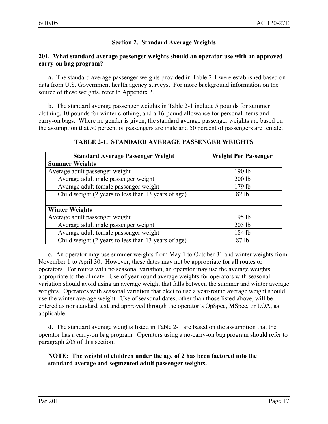# **Section 2. Standard Average Weights**

#### <span id="page-26-0"></span>**201. What standard average passenger weights should an operator use with an approved carry-on bag program?**

**a.** The standard average passenger weights provided in Table 2-1 were established based on data from U.S. Government health agency surveys. For more background information on the source of these weights, refer to Appendix 2.

**b.** The standard average passenger weights in Table 2-1 include 5 pounds for summer clothing, 10 pounds for winter clothing, and a 16-pound allowance for personal items and carry-on bags. Where no gender is given, the standard average passenger weights are based on the assumption that 50 percent of passengers are male and 50 percent of passengers are female.

| <b>Standard Average Passenger Weight</b>            | <b>Weight Per Passenger</b> |
|-----------------------------------------------------|-----------------------------|
| <b>Summer Weights</b>                               |                             |
| Average adult passenger weight                      | 190 lb                      |
| Average adult male passenger weight                 | $200$ lb                    |
| Average adult female passenger weight               | 179 lb                      |
| Child weight (2 years to less than 13 years of age) | 82 lb                       |
|                                                     |                             |
| <b>Winter Weights</b>                               |                             |
| Average adult passenger weight                      | $195$ lb                    |
| Average adult male passenger weight                 | $205$ lb                    |
| Average adult female passenger weight               | 184 lb                      |
| Child weight (2 years to less than 13 years of age) | 87 lb                       |

#### **TABLE 2-1. STANDARD AVERAGE PASSENGER WEIGHTS**

**c.** An operator may use summer weights from May 1 to October 31 and winter weights from November 1 to April 30. However, these dates may not be appropriate for all routes or operators. For routes with no seasonal variation, an operator may use the average weights appropriate to the climate. Use of year-round average weights for operators with seasonal variation should avoid using an average weight that falls between the summer and winter average weights. Operators with seasonal variation that elect to use a year-round average weight should use the winter average weight. Use of seasonal dates, other than those listed above, will be entered as nonstandard text and approved through the operator's OpSpec, MSpec, or LOA, as applicable.

**d.** The standard average weights listed in Table 2-1 are based on the assumption that the operator has a carry-on bag program. Operators using a no-carry-on bag program should refer to paragraph 205 of this section.

# **NOTE: The weight of children under the age of 2 has been factored into the standard average and segmented adult passenger weights.**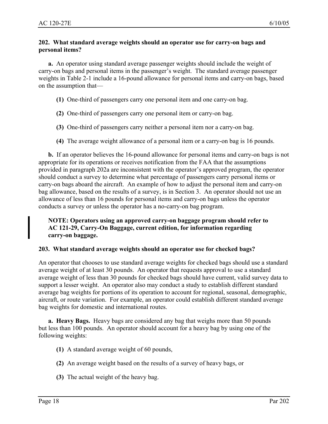#### <span id="page-27-0"></span>**202. What standard average weights should an operator use for carry-on bags and personal items?**

**a.** An operator using standard average passenger weights should include the weight of carry-on bags and personal items in the passenger's weight. The standard average passenger weights in Table 2-1 include a 16-pound allowance for personal items and carry-on bags, based on the assumption that—

- **(1)** One-third of passengers carry one personal item and one carry-on bag.
- **(2)** One-third of passengers carry one personal item or carry-on bag.
- **(3)** One-third of passengers carry neither a personal item nor a carry-on bag.
- **(4)** The average weight allowance of a personal item or a carry-on bag is 16 pounds.

**b.** If an operator believes the 16-pound allowance for personal items and carry-on bags is not appropriate for its operations or receives notification from the FAA that the assumptions provided in paragraph 202a are inconsistent with the operator's approved program, the operator should conduct a survey to determine what percentage of passengers carry personal items or carry-on bags aboard the aircraft. An example of how to adjust the personal item and carry-on bag allowance, based on the results of a survey, is in Section 3. An operator should not use an allowance of less than 16 pounds for personal items and carry-on bags unless the operator conducts a survey or unless the operator has a no-carry-on bag program.

# **NOTE: Operators using an approved carry-on baggage program should refer to AC 121-29, Carry-On Baggage, current edition, for information regarding carry-on baggage.**

#### **203. What standard average weights should an operator use for checked bags?**

An operator that chooses to use standard average weights for checked bags should use a standard average weight of at least 30 pounds. An operator that requests approval to use a standard average weight of less than 30 pounds for checked bags should have current, valid survey data to support a lesser weight. An operator also may conduct a study to establish different standard average bag weights for portions of its operation to account for regional, seasonal, demographic, aircraft, or route variation. For example, an operator could establish different standard average bag weights for domestic and international routes.

**a. Heavy Bags.** Heavy bags are considered any bag that weighs more than 50 pounds but less than 100 pounds. An operator should account for a heavy bag by using one of the following weights:

- **(1)** A standard average weight of 60 pounds,
- **(2)** An average weight based on the results of a survey of heavy bags, or
- **(3)** The actual weight of the heavy bag.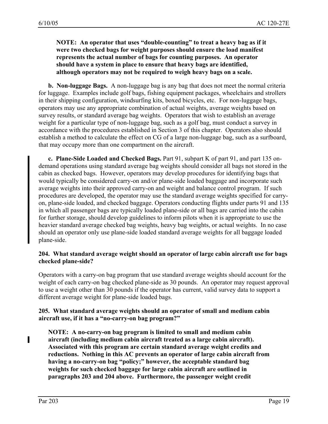# <span id="page-28-0"></span>**NOTE: An operator that uses "double-counting" to treat a heavy bag as if it were two checked bags for weight purposes should ensure the load manifest represents the actual number of bags for counting purposes. An operator should have a system in place to ensure that heavy bags are identified, although operators may not be required to weigh heavy bags on a scale.**

**b. Non-luggage Bags.** A non-luggage bag is any bag that does not meet the normal criteria for luggage. Examples include golf bags, fishing equipment packages, wheelchairs and strollers in their shipping configuration, windsurfing kits, boxed bicycles, etc. For non-luggage bags, operators may use any appropriate combination of actual weights, average weights based on survey results, or standard average bag weights. Operators that wish to establish an average weight for a particular type of non-luggage bag, such as a golf bag, must conduct a survey in accordance with the procedures established in Section 3 of this chapter. Operators also should establish a method to calculate the effect on CG of a large non-luggage bag, such as a surfboard, that may occupy more than one compartment on the aircraft.

**c. Plane-Side Loaded and Checked Bags.** Part 91, subpart K of part 91, and part 135 ondemand operations using standard average bag weights should consider all bags not stored in the cabin as checked bags. However, operators may develop procedures for identifying bags that would typically be considered carry-on and/or plane-side loaded baggage and incorporate such average weights into their approved carry-on and weight and balance control program. If such procedures are developed, the operator may use the standard average weights specified for carryon, plane-side loaded, and checked baggage. Operators conducting flights under parts 91 and 135 in which all passenger bags are typically loaded plane-side or all bags are carried into the cabin for further storage, should develop guidelines to inform pilots when it is appropriate to use the heavier standard average checked bag weights, heavy bag weights, or actual weights. In no case should an operator only use plane-side loaded standard average weights for all baggage loaded plane-side.

# **204. What standard average weight should an operator of large cabin aircraft use for bags checked plane-side?**

Operators with a carry-on bag program that use standard average weights should account for the weight of each carry-on bag checked plane-side as 30 pounds. An operator may request approval to use a weight other than 30 pounds if the operator has current, valid survey data to support a different average weight for plane-side loaded bags.

#### **205. What standard average weights should an operator of small and medium cabin aircraft use, if it has a "no-carry-on bag program?"**

**NOTE: A no-carry-on bag program is limited to small and medium cabin aircraft (including medium cabin aircraft treated as a large cabin aircraft). Associated with this program are certain standard average weight credits and reductions. Nothing in this AC prevents an operator of large cabin aircraft from having a no-carry-on bag "policy;" however, the acceptable standard bag weights for such checked baggage for large cabin aircraft are outlined in paragraphs 203 and 204 above. Furthermore, the passenger weight credit** 

Π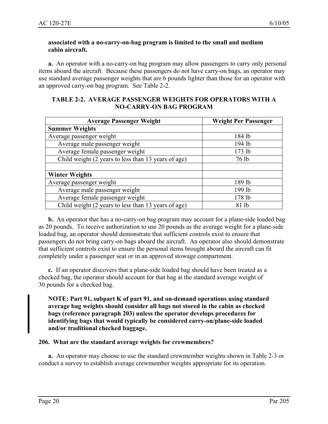#### <span id="page-29-0"></span>**associated with a no-carry-on-bag program is limited to the small and medium cabin aircraft.**

**a.** An operator with a no-carry-on bag program may allow passengers to carry only personal items aboard the aircraft. Because these passengers do not have carry-on bags, an operator may use standard average passenger weights that are 6 pounds lighter than those for an operator with an approved carry-on bag program. See Table 2-2.

# **TABLE 2-2. AVERAGE PASSENGER WEIGHTS FOR OPERATORS WITH A NO-CARRY-ON BAG PROGRAM**

| <b>Average Passenger Weight</b>                     | <b>Weight Per Passenger</b> |
|-----------------------------------------------------|-----------------------------|
| <b>Summer Weights</b>                               |                             |
| Average passenger weight                            | 184 lb                      |
| Average male passenger weight                       | 194 lb                      |
| Average female passenger weight                     | 173 lb                      |
| Child weight (2 years to less than 13 years of age) | 76 lb                       |
|                                                     |                             |
| <b>Winter Weights</b>                               |                             |
| Average passenger weight                            | 189 lb                      |
| Average male passenger weight                       | 199 lb                      |
| Average female passenger weight                     | 178 lb                      |
| Child weight (2 years to less than 13 years of age) | 81 lb                       |

**b.** An operator that has a no-carry-on bag program may account for a plane-side loaded bag as 20 pounds. To receive authorization to use 20 pounds as the average weight for a plane-side loaded bag, an operator should demonstrate that sufficient controls exist to ensure that passengers do not bring carry-on bags aboard the aircraft. An operator also should demonstrate that sufficient controls exist to ensure the personal items brought aboard the aircraft can fit completely under a passenger seat or in an approved stowage compartment.

**c.** If an operator discovers that a plane-side loaded bag should have been treated as a checked bag, the operator should account for that bag at the standard average weight of 30 pounds for a checked bag.

**NOTE: Part 91, subpart K of part 91, and on-demand operations using standard average bag weights should consider all bags not stored in the cabin as checked bags (reference paragraph 203) unless the operator develops procedures for identifying bags that would typically be considered carry-on/plane-side loaded and/or traditional checked baggage.** 

# **206. What are the standard average weights for crewmembers?**

**a.** An operator may choose to use the standard crewmember weights shown in Table 2-3 or conduct a survey to establish average crewmember weights appropriate for its operation.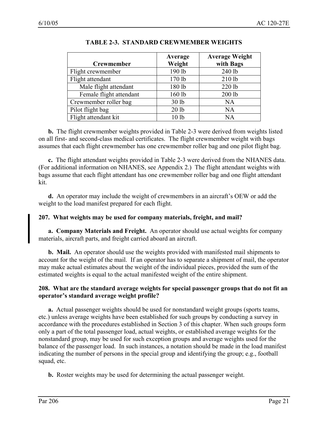<span id="page-30-0"></span>

| Crewmember              | Average<br>Weight | <b>Average Weight</b><br>with Bags |
|-------------------------|-------------------|------------------------------------|
| Flight crewmember       | 190 lb            | 240 lb                             |
| Flight attendant        | 170 lb            | 210 lb                             |
| Male flight attendant   | 180 lb            | 220 lb                             |
| Female flight attendant | 160 lb            | 200 lb                             |
| Crewmember roller bag   | 30 lb             | NA                                 |
| Pilot flight bag        | 20 <sub>1b</sub>  | NA                                 |
| Flight attendant kit    | 10 lb             | NA                                 |

**TABLE 2-3. STANDARD CREWMEMBER WEIGHTS** 

**b.** The flight crewmember weights provided in Table 2-3 were derived from weights listed on all first- and second-class medical certificates. The flight crewmember weight with bags assumes that each flight crewmember has one crewmember roller bag and one pilot flight bag.

**c.** The flight attendant weights provided in Table 2-3 were derived from the NHANES data. (For additional information on NHANES, see Appendix 2.) The flight attendant weights with bags assume that each flight attendant has one crewmember roller bag and one flight attendant kit.

**d.** An operator may include the weight of crewmembers in an aircraft's OEW or add the weight to the load manifest prepared for each flight.

# **207. What weights may be used for company materials, freight, and mail?**

**a. Company Materials and Freight.** An operator should use actual weights for company materials, aircraft parts, and freight carried aboard an aircraft.

**b. Mail.** An operator should use the weights provided with manifested mail shipments to account for the weight of the mail. If an operator has to separate a shipment of mail, the operator may make actual estimates about the weight of the individual pieces, provided the sum of the estimated weights is equal to the actual manifested weight of the entire shipment.

# **208. What are the standard average weights for special passenger groups that do not fit an operator's standard average weight profile?**

**a.** Actual passenger weights should be used for nonstandard weight groups (sports teams, etc.) unless average weights have been established for such groups by conducting a survey in accordance with the procedures established in Section 3 of this chapter. When such groups form only a part of the total passenger load, actual weights, or established average weights for the nonstandard group, may be used for such exception groups and average weights used for the balance of the passenger load. In such instances, a notation should be made in the load manifest indicating the number of persons in the special group and identifying the group; e.g., football squad, etc.

**b.** Roster weights may be used for determining the actual passenger weight.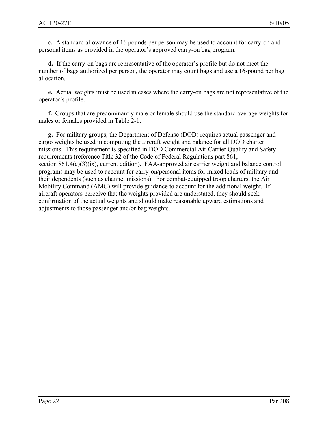**c.** A standard allowance of 16 pounds per person may be used to account for carry-on and personal items as provided in the operator's approved carry-on bag program.

**d.** If the carry-on bags are representative of the operator's profile but do not meet the number of bags authorized per person, the operator may count bags and use a 16-pound per bag allocation.

**e.** Actual weights must be used in cases where the carry-on bags are not representative of the operator's profile.

**f.** Groups that are predominantly male or female should use the standard average weights for males or females provided in Table 2-1.

**g.** For military groups, the Department of Defense (DOD) requires actual passenger and cargo weights be used in computing the aircraft weight and balance for all DOD charter missions. This requirement is specified in DOD Commercial Air Carrier Quality and Safety requirements (reference Title 32 of the Code of Federal Regulations part 861, section  $861.4(e)(3)(ix)$ , current edition). FAA-approved air carrier weight and balance control programs may be used to account for carry-on/personal items for mixed loads of military and their dependents (such as channel missions). For combat-equipped troop charters, the Air Mobility Command (AMC) will provide guidance to account for the additional weight. If aircraft operators perceive that the weights provided are understated, they should seek confirmation of the actual weights and should make reasonable upward estimations and adjustments to those passenger and/or bag weights.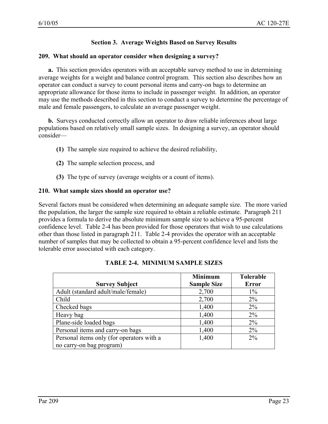# **Section 3. Average Weights Based on Survey Results**

#### <span id="page-32-0"></span>**209. What should an operator consider when designing a survey?**

**a.** This section provides operators with an acceptable survey method to use in determining average weights for a weight and balance control program. This section also describes how an operator can conduct a survey to count personal items and carry-on bags to determine an appropriate allowance for those items to include in passenger weight. In addition, an operator may use the methods described in this section to conduct a survey to determine the percentage of male and female passengers, to calculate an average passenger weight.

**b.** Surveys conducted correctly allow an operator to draw reliable inferences about large populations based on relatively small sample sizes. In designing a survey, an operator should consider—

- **(1)** The sample size required to achieve the desired reliability,
- **(2)** The sample selection process, and
- **(3)** The type of survey (average weights or a count of items).

#### **210. What sample sizes should an operator use?**

Several factors must be considered when determining an adequate sample size. The more varied the population, the larger the sample size required to obtain a reliable estimate. Paragraph 211 provides a formula to derive the absolute minimum sample size to achieve a 95-percent confidence level. Table 2-4 has been provided for those operators that wish to use calculations other than those listed in paragraph 211. Table 2-4 provides the operator with an acceptable number of samples that may be collected to obtain a 95-percent confidence level and lists the tolerable error associated with each category.

|                                           | <b>Minimum</b>     | <b>Tolerable</b> |
|-------------------------------------------|--------------------|------------------|
| <b>Survey Subject</b>                     | <b>Sample Size</b> | <b>Error</b>     |
| Adult (standard adult/male/female)        | 2,700              | $1\%$            |
| Child                                     | 2,700              | $2\%$            |
| Checked bags                              | 1,400              | $2\%$            |
| Heavy bag                                 | 1,400              | $2\%$            |
| Plane-side loaded bags                    | 1,400              | $2\%$            |
| Personal items and carry-on bags          | 1,400              | $2\%$            |
| Personal items only (for operators with a | 1,400              | $2\%$            |
| no carry-on bag program)                  |                    |                  |

|  | <b>TABLE 2-4. MINIMUM SAMPLE SIZES</b> |
|--|----------------------------------------|
|--|----------------------------------------|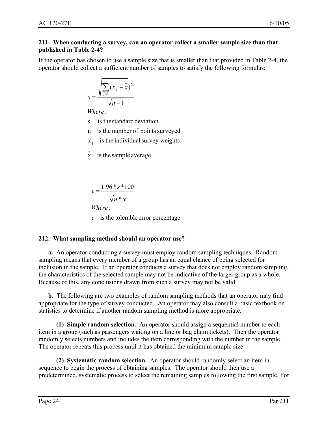# <span id="page-33-0"></span>**211. When conducting a survey, can an operator collect a smaller sample size than that published in Table 2-4?**

If the operator has chosen to use a sample size that is smaller than that provided in Table 2-4, the operator should collect a sufficient number of samples to satisfy the following formulas:

$$
s = \frac{\sqrt{\sum_{j=1}^{n} (x_j - \bar{x})^2}}{\sqrt{n-1}}
$$

: *Where*

- s is the standard deviation
- n is the number of points surveyed
- is the individual survey weights  $\mathbf{X}_{i}$
- x is the sample average  $\mathcal{L}(\mathcal{L})$

$$
e = \frac{1.96 * s * 100}{\sqrt{n} * x}
$$

: *Where*

is the tolerable error percentage *e*

# **212. What sampling method should an operator use?**

**a.** An operator conducting a survey must employ random sampling techniques. Random sampling means that every member of a group has an equal chance of being selected for inclusion in the sample. If an operator conducts a survey that does not employ random sampling, the characteristics of the selected sample may not be indicative of the larger group as a whole. Because of this, any conclusions drawn from such a survey may not be valid.

**b.** The following are two examples of random sampling methods that an operator may find appropriate for the type of survey conducted. An operator may also consult a basic textbook on statistics to determine if another random sampling method is more appropriate.

**(1) Simple random selection.** An operator should assign a sequential number to each item in a group (such as passengers waiting on a line or bag claim tickets). Then the operator randomly selects numbers and includes the item corresponding with the number in the sample. The operator repeats this process until it has obtained the minimum sample size.

**(2) Systematic random selection.** An operator should randomly select an item in sequence to begin the process of obtaining samples. The operator should then use a predetermined, systematic process to select the remaining samples following the first sample. For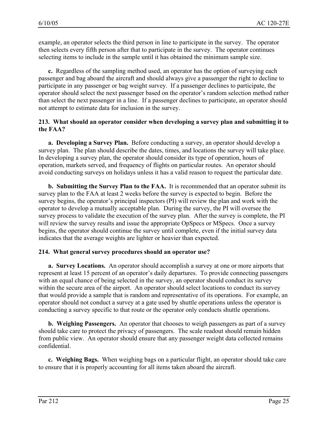<span id="page-34-0"></span>example, an operator selects the third person in line to participate in the survey. The operator then selects every fifth person after that to participate in the survey. The operator continues selecting items to include in the sample until it has obtained the minimum sample size.

**c.** Regardless of the sampling method used, an operator has the option of surveying each passenger and bag aboard the aircraft and should always give a passenger the right to decline to participate in any passenger or bag weight survey. If a passenger declines to participate, the operator should select the next passenger based on the operator's random selection method rather than select the next passenger in a line. If a passenger declines to participate, an operator should not attempt to estimate data for inclusion in the survey.

# **213. What should an operator consider when developing a survey plan and submitting it to the FAA?**

**a. Developing a Survey Plan.** Before conducting a survey, an operator should develop a survey plan. The plan should describe the dates, times, and locations the survey will take place. In developing a survey plan, the operator should consider its type of operation, hours of operation, markets served, and frequency of flights on particular routes. An operator should avoid conducting surveys on holidays unless it has a valid reason to request the particular date.

**b. Submitting the Survey Plan to the FAA.** It is recommended that an operator submit its survey plan to the FAA at least 2 weeks before the survey is expected to begin. Before the survey begins, the operator's principal inspectors (PI) will review the plan and work with the operator to develop a mutually acceptable plan. During the survey, the PI will oversee the survey process to validate the execution of the survey plan. After the survey is complete, the PI will review the survey results and issue the appropriate OpSpecs or MSpecs. Once a survey begins, the operator should continue the survey until complete, even if the initial survey data indicates that the average weights are lighter or heavier than expected.

# **214. What general survey procedures should an operator use?**

**a. Survey Locations.** An operator should accomplish a survey at one or more airports that represent at least 15 percent of an operator's daily departures. To provide connecting passengers with an equal chance of being selected in the survey, an operator should conduct its survey within the secure area of the airport. An operator should select locations to conduct its survey that would provide a sample that is random and representative of its operations. For example, an operator should not conduct a survey at a gate used by shuttle operations unless the operator is conducting a survey specific to that route or the operator only conducts shuttle operations.

**b. Weighing Passengers.** An operator that chooses to weigh passengers as part of a survey should take care to protect the privacy of passengers. The scale readout should remain hidden from public view. An operator should ensure that any passenger weight data collected remains confidential.

**c. Weighing Bags.** When weighing bags on a particular flight, an operator should take care to ensure that it is properly accounting for all items taken aboard the aircraft.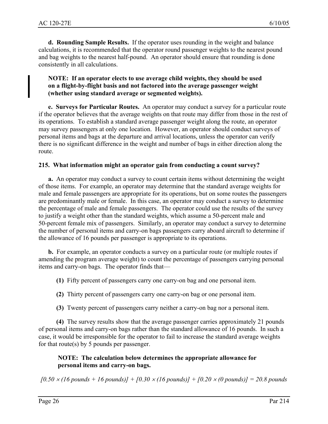<span id="page-35-0"></span>**d. Rounding Sample Results.** If the operator uses rounding in the weight and balance calculations, it is recommended that the operator round passenger weights to the nearest pound and bag weights to the nearest half-pound. An operator should ensure that rounding is done consistently in all calculations.

#### **NOTE: If an operator elects to use average child weights, they should be used on a flight-by-flight basis and not factored into the average passenger weight (whether using standard average or segmented weights).**

**e. Surveys for Particular Routes.** An operator may conduct a survey for a particular route if the operator believes that the average weights on that route may differ from those in the rest of its operations. To establish a standard average passenger weight along the route, an operator may survey passengers at only one location. However, an operator should conduct surveys of personal items and bags at the departure and arrival locations, unless the operator can verify there is no significant difference in the weight and number of bags in either direction along the route.

# **215. What information might an operator gain from conducting a count survey?**

**a.** An operator may conduct a survey to count certain items without determining the weight of those items. For example, an operator may determine that the standard average weights for male and female passengers are appropriate for its operations, but on some routes the passengers are predominantly male or female. In this case, an operator may conduct a survey to determine the percentage of male and female passengers. The operator could use the results of the survey to justify a weight other than the standard weights, which assume a 50-percent male and 50-percent female mix of passengers. Similarly, an operator may conduct a survey to determine the number of personal items and carry-on bags passengers carry aboard aircraft to determine if the allowance of 16 pounds per passenger is appropriate to its operations.

**b.** For example, an operator conducts a survey on a particular route (or multiple routes if amending the program average weight) to count the percentage of passengers carrying personal items and carry-on bags. The operator finds that—

**(1)** Fifty percent of passengers carry one carry-on bag and one personal item.

- **(2)** Thirty percent of passengers carry one carry-on bag or one personal item.
- **(3)** Twenty percent of passengers carry neither a carry-on bag nor a personal item.

**(4)** The survey results show that the average passenger carries approximately 21 pounds of personal items and carry-on bags rather than the standard allowance of 16 pounds. In such a case, it would be irresponsible for the operator to fail to increase the standard average weights for that route(s) by 5 pounds per passenger.

# **NOTE: The calculation below determines the appropriate allowance for personal items and carry-on bags.**

*[0.50* × *(16 pounds + 16 pounds)] + [0.30* × *(16 pounds)] + [0.20* × *(0 pounds)] = 20.8 pounds*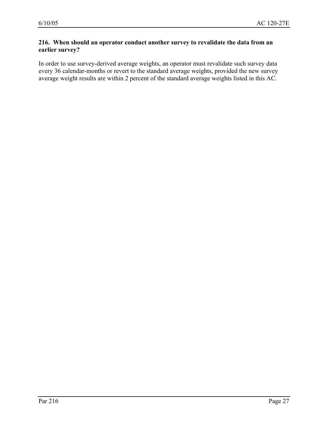# <span id="page-36-0"></span>**216. When should an operator conduct another survey to revalidate the data from an earlier survey?**

In order to use survey-derived average weights, an operator must revalidate such survey data every 36 calendar-months or revert to the standard average weights, provided the new survey average weight results are within 2 percent of the standard average weights listed in this AC.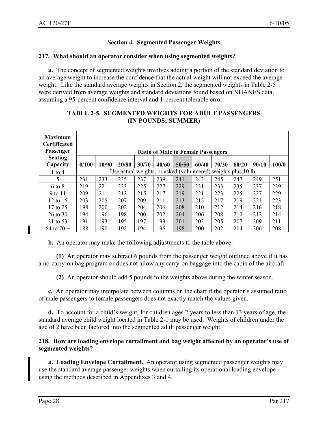# **Section 4. Segmented Passenger Weights**

#### <span id="page-37-0"></span>**217. What should an operator consider when using segmented weights?**

**a.** The concept of segmented weights involves adding a portion of the standard deviation to an average weight to increase the confidence that the actual weight will not exceed the average weight. Like the standard average weights in Section 2, the segmented weights in Table 2-5 were derived from average weights and standard deviations found based on NHANES data, assuming a 95-percent confidence interval and 1-percent tolerable error.

#### **TABLE 2-5. SEGMENTED WEIGHTS FOR ADULT PASSENGERS (IN POUNDS; SUMMER)**

| <b>Maximum</b><br><b>Certificated</b><br>Passenger |       |       |       |       | <b>Ratio of Male to Female Passengers</b>                     |       |       |       |       |       |       |
|----------------------------------------------------|-------|-------|-------|-------|---------------------------------------------------------------|-------|-------|-------|-------|-------|-------|
| <b>Seating</b><br>Capacity                         | 0/100 | 10/90 | 20/80 | 30/70 | 40/60                                                         | 50/50 | 60/40 | 70/30 | 80/20 | 90/10 | 100/0 |
| $1$ to $4$                                         |       |       |       |       | Use actual weights, or asked (volunteered) weights plus 10 lb |       |       |       |       |       |       |
| 5                                                  | 231   | 233   | 235   | 237   | 239                                                           | 241   | 243   | 245   | 247   | 249   | 251   |
| $6$ to $8$                                         | 219   | 221   | 223   | 225   | 227                                                           | 229   | 231   | 233   | 235   | 237   | 239   |
| 9 to 11                                            | 209   | 211   | 213   | 215   | 217                                                           | 219   | 221   | 223   | 225   | 227   | 229   |
| 12 to $16$                                         | 203   | 205   | 207   | 209   | 211                                                           | 213   | 215   | 217   | 219   | 221   | 223   |
| 17 to 25                                           | 198   | 200   | 202   | 204   | 206                                                           | 208   | 210   | 212   | 214   | 216   | 218   |
| $26 \text{ to } 30$                                | 194   | 196   | 198   | 200   | 202                                                           | 204   | 206   | 208   | 210   | 212   | 214   |
| 31 to 53                                           | 191   | 193   | 195   | 197   | 199                                                           | 201   | 203   | 205   | 207   | 209   | 211   |
| 54 to $70 +$                                       | 188   | 190   | 192   | 194   | 196                                                           | 198   | 200   | 202   | 204   | 206   | 208   |

**b.** An operator may make the following adjustments to the table above:

**(1)** An operator may subtract 6 pounds from the passenger weight outlined above if it has a no-carry-on bag program or does not allow any carry-on baggage into the cabin of the aircraft.

**(2)** An operator should add 5 pounds to the weights above during the winter season.

**c.** An operator may interpolate between columns on the chart if the operator's assumed ratio of male passengers to female passengers does not exactly match the values given.

**d.** To account for a child's weight, for children ages 2 years to less than 13 years of age, the standard average child weight located in Table 2-1 may be used. Weights of children under the age of 2 have been factored into the segmented adult passenger weight.

# **218. How are loading envelope curtailment and bag weight affected by an operator's use of segmented weights?**

**a. Loading Envelope Curtailment.** An operator using segmented passenger weights may use the standard average passenger weights when curtailing its operational loading envelope using the methods described in Appendixes 3 and 4.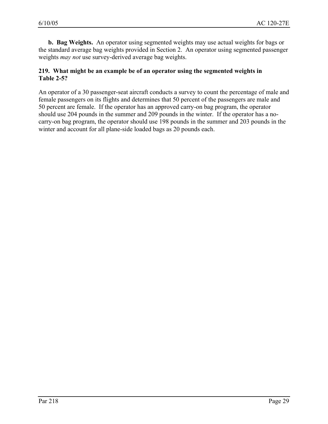<span id="page-38-0"></span>**b. Bag Weights.** An operator using segmented weights may use actual weights for bags or the standard average bag weights provided in Section 2. An operator using segmented passenger weights *may not* use survey-derived average bag weights.

# **219. What might be an example be of an operator using the segmented weights in Table 2-5?**

An operator of a 30 passenger-seat aircraft conducts a survey to count the percentage of male and female passengers on its flights and determines that 50 percent of the passengers are male and 50 percent are female. If the operator has an approved carry-on bag program, the operator should use 204 pounds in the summer and 209 pounds in the winter. If the operator has a nocarry-on bag program, the operator should use 198 pounds in the summer and 203 pounds in the winter and account for all plane-side loaded bags as 20 pounds each.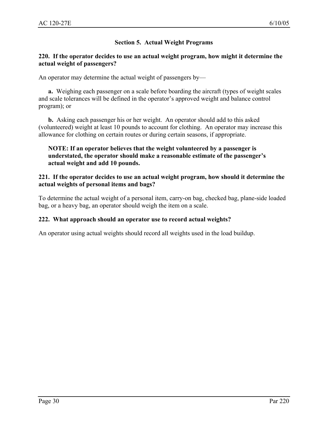# **Section 5. Actual Weight Programs**

# <span id="page-39-0"></span>**220. If the operator decides to use an actual weight program, how might it determine the actual weight of passengers?**

An operator may determine the actual weight of passengers by—

**a.** Weighing each passenger on a scale before boarding the aircraft (types of weight scales and scale tolerances will be defined in the operator's approved weight and balance control program); or

**b.** Asking each passenger his or her weight. An operator should add to this asked (volunteered) weight at least 10 pounds to account for clothing. An operator may increase this allowance for clothing on certain routes or during certain seasons, if appropriate.

# **NOTE: If an operator believes that the weight volunteered by a passenger is understated, the operator should make a reasonable estimate of the passenger's actual weight and add 10 pounds.**

#### **221. If the operator decides to use an actual weight program, how should it determine the actual weights of personal items and bags?**

To determine the actual weight of a personal item, carry-on bag, checked bag, plane-side loaded bag, or a heavy bag, an operator should weigh the item on a scale.

# **222. What approach should an operator use to record actual weights?**

An operator using actual weights should record all weights used in the load buildup.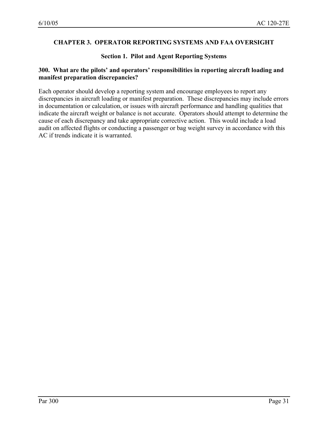#### <span id="page-40-0"></span>**CHAPTER 3. OPERATOR REPORTING SYSTEMS AND FAA OVERSIGHT**

# **Section 1. Pilot and Agent Reporting Systems**

#### **300. What are the pilots' and operators' responsibilities in reporting aircraft loading and manifest preparation discrepancies?**

Each operator should develop a reporting system and encourage employees to report any discrepancies in aircraft loading or manifest preparation. These discrepancies may include errors in documentation or calculation, or issues with aircraft performance and handling qualities that indicate the aircraft weight or balance is not accurate. Operators should attempt to determine the cause of each discrepancy and take appropriate corrective action. This would include a load audit on affected flights or conducting a passenger or bag weight survey in accordance with this AC if trends indicate it is warranted.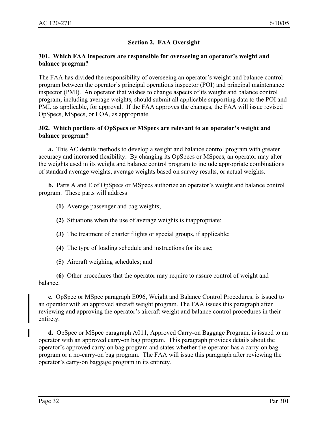# **Section 2. FAA Oversight**

#### <span id="page-41-0"></span>**301. Which FAA inspectors are responsible for overseeing an operator's weight and balance program?**

The FAA has divided the responsibility of overseeing an operator's weight and balance control program between the operator's principal operations inspector (POI) and principal maintenance inspector (PMI). An operator that wishes to change aspects of its weight and balance control program, including average weights, should submit all applicable supporting data to the POI and PMI, as applicable, for approval. If the FAA approves the changes, the FAA will issue revised OpSpecs, MSpecs, or LOA, as appropriate.

#### **302. Which portions of OpSpecs or MSpecs are relevant to an operator's weight and balance program?**

**a.** This AC details methods to develop a weight and balance control program with greater accuracy and increased flexibility. By changing its OpSpecs or MSpecs, an operator may alter the weights used in its weight and balance control program to include appropriate combinations of standard average weights, average weights based on survey results, or actual weights.

**b.** Parts A and E of OpSpecs or MSpecs authorize an operator's weight and balance control program. These parts will address—

- **(1)** Average passenger and bag weights;
- **(2)** Situations when the use of average weights is inappropriate;
- **(3)** The treatment of charter flights or special groups, if applicable;
- **(4)** The type of loading schedule and instructions for its use;
- **(5)** Aircraft weighing schedules; and

**(6)** Other procedures that the operator may require to assure control of weight and balance.

**c.** OpSpec or MSpec paragraph E096, Weight and Balance Control Procedures, is issued to an operator with an approved aircraft weight program. The FAA issues this paragraph after reviewing and approving the operator's aircraft weight and balance control procedures in their entirety.

**d.** OpSpec or MSpec paragraph A011, Approved Carry-on Baggage Program, is issued to an operator with an approved carry-on bag program. This paragraph provides details about the operator's approved carry-on bag program and states whether the operator has a carry-on bag program or a no-carry-on bag program. The FAA will issue this paragraph after reviewing the operator's carry-on baggage program in its entirety.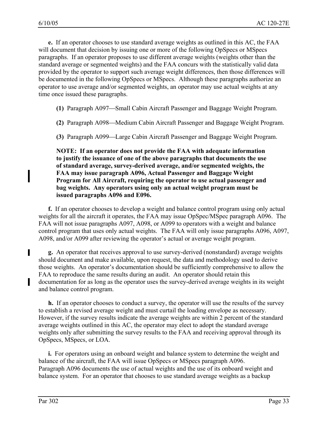**e.** If an operator chooses to use standard average weights as outlined in this AC, the FAA will document that decision by issuing one or more of the following OpSpecs or MSpecs paragraphs. If an operator proposes to use different average weights (weights other than the standard average or segmented weights) and the FAA concurs with the statistically valid data provided by the operator to support such average weight differences, then those differences will be documented in the following OpSpecs or MSpecs. Although these paragraphs authorize an operator to use average and/or segmented weights, an operator may use actual weights at any time once issued these paragraphs.

**(1)** Paragraph A097—Small Cabin Aircraft Passenger and Baggage Weight Program.

- **(2)** Paragraph A098—Medium Cabin Aircraft Passenger and Baggage Weight Program.
- **(3)** Paragraph A099—Large Cabin Aircraft Passenger and Baggage Weight Program.

**NOTE: If an operator does not provide the FAA with adequate information to justify the issuance of one of the above paragraphs that documents the use of standard average, survey-derived average, and/or segmented weights, the FAA may issue paragraph A096, Actual Passenger and Baggage Weight Program for All Aircraft, requiring the operator to use actual passenger and bag weights. Any operators using only an actual weight program must be issued paragraphs A096 and E096.** 

**f.** If an operator chooses to develop a weight and balance control program using only actual weights for all the aircraft it operates, the FAA may issue OpSpec/MSpec paragraph A096. The FAA will not issue paragraphs A097, A098, or A099 to operators with a weight and balance control program that uses only actual weights. The FAA will only issue paragraphs A096, A097, A098, and/or A099 after reviewing the operator's actual or average weight program.

**g.** An operator that receives approval to use survey-derived (nonstandard) average weights should document and make available, upon request, the data and methodology used to derive those weights. An operator's documentation should be sufficiently comprehensive to allow the FAA to reproduce the same results during an audit. An operator should retain this documentation for as long as the operator uses the survey-derived average weights in its weight and balance control program.

**h.** If an operator chooses to conduct a survey, the operator will use the results of the survey to establish a revised average weight and must curtail the loading envelope as necessary. However, if the survey results indicate the average weights are within 2 percent of the standard average weights outlined in this AC, the operator may elect to adopt the standard average weights only after submitting the survey results to the FAA and receiving approval through its OpSpecs, MSpecs, or LOA.

**i.** For operators using an onboard weight and balance system to determine the weight and balance of the aircraft, the FAA will issue OpSpecs or MSpecs paragraph A096. Paragraph A096 documents the use of actual weights and the use of its onboard weight and balance system. For an operator that chooses to use standard average weights as a backup

Π

ı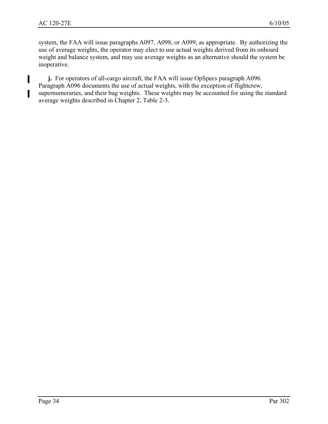I

system, the FAA will issue paragraphs A097, A098, or A099, as appropriate. By authorizing the use of average weights, the operator may elect to use actual weights derived from its onboard weight and balance system, and may use average weights as an alternative should the system be inoperative.

**j.** For operators of all-cargo aircraft, the FAA will issue OpSpecs paragraph A096. Paragraph A096 documents the use of actual weights, with the exception of flightcrew, supernumeraries, and their bag weights. These weights may be accounted for using the standard average weights described in Chapter 2, Table 2-3.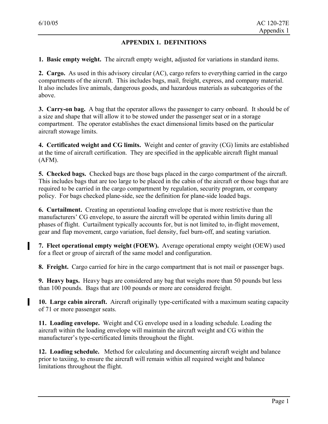I

I

# **APPENDIX 1. DEFINITIONS**

<span id="page-44-0"></span>**1. Basic empty weight.** The aircraft empty weight, adjusted for variations in standard items.

**2. Cargo.** As used in this advisory circular (AC), cargo refers to everything carried in the cargo compartments of the aircraft. This includes bags, mail, freight, express, and company material. It also includes live animals, dangerous goods, and hazardous materials as subcategories of the above.

**3. Carry-on bag.** A bag that the operator allows the passenger to carry onboard. It should be of a size and shape that will allow it to be stowed under the passenger seat or in a storage compartment. The operator establishes the exact dimensional limits based on the particular aircraft stowage limits.

**4. Certificated weight and CG limits.** Weight and center of gravity (CG) limits are established at the time of aircraft certification. They are specified in the applicable aircraft flight manual  $(AFM).$ 

**5. Checked bags.** Checked bags are those bags placed in the cargo compartment of the aircraft. This includes bags that are too large to be placed in the cabin of the aircraft or those bags that are required to be carried in the cargo compartment by regulation, security program, or company policy. For bags checked plane-side, see the definition for plane-side loaded bags.

**6. Curtailment.** Creating an operational loading envelope that is more restrictive than the manufacturers' CG envelope, to assure the aircraft will be operated within limits during all phases of flight. Curtailment typically accounts for, but is not limited to, in-flight movement, gear and flap movement, cargo variation, fuel density, fuel burn-off, and seating variation.

**7. Fleet operational empty weight (FOEW).** Average operational empty weight (OEW) used for a fleet or group of aircraft of the same model and configuration.

**8. Freight.** Cargo carried for hire in the cargo compartment that is not mail or passenger bags.

**9. Heavy bags.** Heavy bags are considered any bag that weighs more than 50 pounds but less than 100 pounds. Bags that are 100 pounds or more are considered freight.

**10. Large cabin aircraft.** Aircraft originally type-certificated with a maximum seating capacity of 71 or more passenger seats.

**11. Loading envelope.** Weight and CG envelope used in a loading schedule. Loading the aircraft within the loading envelope will maintain the aircraft weight and CG within the manufacturer's type-certificated limits throughout the flight.

**12. Loading schedule.** Method for calculating and documenting aircraft weight and balance prior to taxiing, to ensure the aircraft will remain within all required weight and balance limitations throughout the flight.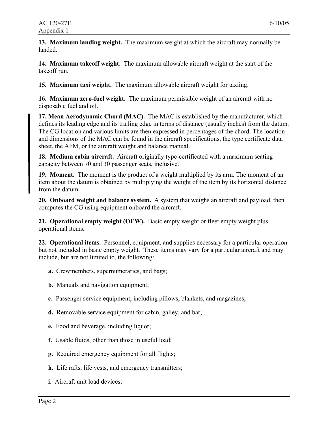**13. Maximum landing weight.** The maximum weight at which the aircraft may normally be landed.

**14. Maximum takeoff weight.** The maximum allowable aircraft weight at the start of the takeoff run.

**15. Maximum taxi weight.** The maximum allowable aircraft weight for taxiing.

**16. Maximum zero-fuel weight.** The maximum permissible weight of an aircraft with no disposable fuel and oil.

**17. Mean Aerodynamic Chord (MAC).** The MAC is established by the manufacturer, which defines its leading edge and its trailing edge in terms of distance (usually inches) from the datum. The CG location and various limits are then expressed in percentages of the chord. The location and dimensions of the MAC can be found in the aircraft specifications, the type certificate data sheet, the AFM, or the aircraft weight and balance manual.

**18. Medium cabin aircraft.** Aircraft originally type-certificated with a maximum seating capacity between 70 and 30 passenger seats, inclusive.

**19. Moment.** The moment is the product of a weight multiplied by its arm. The moment of an item about the datum is obtained by multiplying the weight of the item by its horizontal distance from the datum.

**20. Onboard weight and balance system.** A system that weighs an aircraft and payload, then computes the CG using equipment onboard the aircraft.

**21. Operational empty weight (OEW).** Basic empty weight or fleet empty weight plus operational items.

**22. Operational items.** Personnel, equipment, and supplies necessary for a particular operation but not included in basic empty weight. These items may vary for a particular aircraft and may include, but are not limited to, the following:

- **a.** Crewmembers, supernumeraries, and bags;
- **b.** Manuals and navigation equipment;
- **c.** Passenger service equipment, including pillows, blankets, and magazines;
- **d.** Removable service equipment for cabin, galley, and bar;
- **e.** Food and beverage, including liquor;
- **f.** Usable fluids, other than those in useful load;
- **g.** Required emergency equipment for all flights;
- **h.** Life rafts, life vests, and emergency transmitters;
- **i.** Aircraft unit load devices;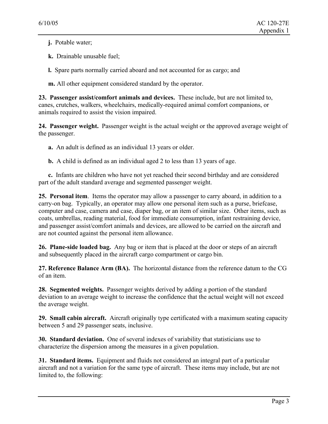**j.** Potable water;

**k.** Drainable unusable fuel;

**l.** Spare parts normally carried aboard and not accounted for as cargo; and

**m.** All other equipment considered standard by the operator.

**23. Passenger assist/comfort animals and devices.** These include, but are not limited to, canes, crutches, walkers, wheelchairs, medically-required animal comfort companions, or animals required to assist the vision impaired.

**24. Passenger weight.** Passenger weight is the actual weight or the approved average weight of the passenger.

**a.** An adult is defined as an individual 13 years or older.

**b.** A child is defined as an individual aged 2 to less than 13 years of age.

**c.** Infants are children who have not yet reached their second birthday and are considered part of the adult standard average and segmented passenger weight.

**25. Personal item**. Items the operator may allow a passenger to carry aboard, in addition to a carry-on bag. Typically, an operator may allow one personal item such as a purse, briefcase, computer and case, camera and case, diaper bag, or an item of similar size. Other items, such as coats, umbrellas, reading material, food for immediate consumption, infant restraining device, and passenger assist/comfort animals and devices, are allowed to be carried on the aircraft and are not counted against the personal item allowance.

**26. Plane-side loaded bag.** Any bag or item that is placed at the door or steps of an aircraft and subsequently placed in the aircraft cargo compartment or cargo bin.

**27. Reference Balance Arm (BA).** The horizontal distance from the reference datum to the CG of an item.

**28. Segmented weights.** Passenger weights derived by adding a portion of the standard deviation to an average weight to increase the confidence that the actual weight will not exceed the average weight.

**29. Small cabin aircraft.** Aircraft originally type certificated with a maximum seating capacity between 5 and 29 passenger seats, inclusive.

**30. Standard deviation.** One of several indexes of variability that statisticians use to characterize the dispersion among the measures in a given population.

**31. Standard items.** Equipment and fluids not considered an integral part of a particular aircraft and not a variation for the same type of aircraft. These items may include, but are not limited to, the following: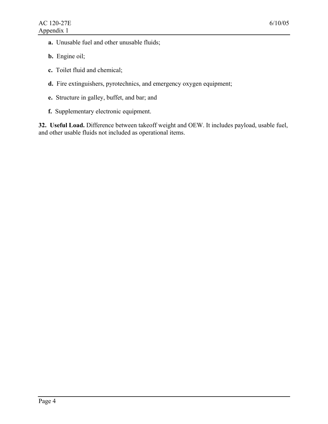- **a.** Unusable fuel and other unusable fluids;
- **b.** Engine oil;
- **c.** Toilet fluid and chemical;
- **d.** Fire extinguishers, pyrotechnics, and emergency oxygen equipment;
- **e.** Structure in galley, buffet, and bar; and
- **f.** Supplementary electronic equipment.

**32. Useful Load.** Difference between takeoff weight and OEW. It includes payload, usable fuel, and other usable fluids not included as operational items.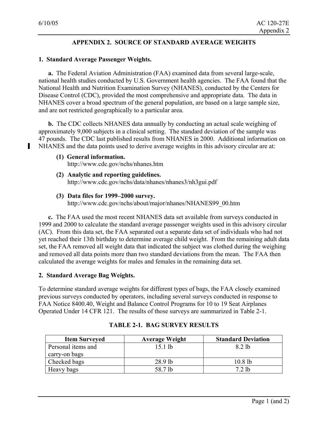# **APPENDIX 2. SOURCE OF STANDARD AVERAGE WEIGHTS**

#### <span id="page-48-0"></span>**1. Standard Average Passenger Weights.**

**a.** The Federal Aviation Administration (FAA) examined data from several large-scale, national health studies conducted by U.S. Government health agencies. The FAA found that the National Health and Nutrition Examination Survey (NHANES), conducted by the Centers for Disease Control (CDC), provided the most comprehensive and appropriate data. The data in NHANES cover a broad spectrum of the general population, are based on a large sample size, and are not restricted geographically to a particular area.

**b.** The CDC collects NHANES data annually by conducting an actual scale weighing of approximately 9,000 subjects in a clinical setting. The standard deviation of the sample was 47 pounds. The CDC last published results from NHANES in 2000. Additional information on NHANES and the data points used to derive average weights in this advisory circular are at:

**(1) General information.**

<http://www.cdc.gov/nchs/nhanes.htm>

- **(2) Analytic and reporting guidelines.** <http://www.cdc.gov/nchs/data/nhanes/nhanes3/nh3gui.pdf>
- **(3) Data files for 1999–2000 survey.**

[http://www.cdc.gov/nchs/about/major/nhanes/NHANES99\\_00.htm](http://www.cdc.gov/nchs/about/major/nhanes/NHANES99_00.htm)

**c.** The FAA used the most recent NHANES data set available from surveys conducted in 1999 and 2000 to calculate the standard average passenger weights used in this advisory circular (AC). From this data set, the FAA separated out a separate data set of individuals who had not yet reached their 13th birthday to determine average child weight. From the remaining adult data set, the FAA removed all weight data that indicated the subject was clothed during the weighing and removed all data points more than two standard deviations from the mean. The FAA then calculated the average weights for males and females in the remaining data set.

#### **2. Standard Average Bag Weights.**

To determine standard average weights for different types of bags, the FAA closely examined previous surveys conducted by operators, including several surveys conducted in response to FAA Notice 8400.40, Weight and Balance Control Programs for 10 to 19 Seat Airplanes Operated Under 14 CFR 121. The results of those surveys are summarized in Table 2-1.

| <b>Item Surveyed</b> | <b>Average Weight</b> | <b>Standard Deviation</b> |
|----------------------|-----------------------|---------------------------|
| Personal items and   | $15.1$ lb             | 8.2 lb                    |
| carry-on bags        |                       |                           |
| Checked bags         | $28.9$ lb             | $10.8$ lb                 |
| Heavy bags           | 58.7 lb               | $7.2$ lb                  |

#### **TABLE 2-1. BAG SURVEY RESULTS**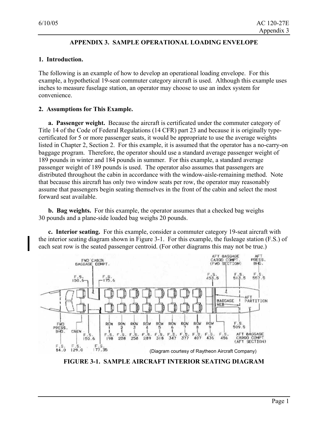# **APPENDIX 3. SAMPLE OPERATIONAL LOADING ENVELOPE**

#### <span id="page-50-0"></span>**1. Introduction.**

The following is an example of how to develop an operational loading envelope. For this example, a hypothetical 19-seat commuter category aircraft is used. Although this example uses inches to measure fuselage station, an operator may choose to use an index system for convenience.

#### **2. Assumptions for This Example.**

**a. Passenger weight.** Because the aircraft is certificated under the commuter category of Title 14 of the Code of Federal Regulations (14 CFR) part 23 and because it is originally typecertificated for 5 or more passenger seats, it would be appropriate to use the average weights listed in Chapter 2, Section 2. For this example, it is assumed that the operator has a no-carry-on baggage program. Therefore, the operator should use a standard average passenger weight of 189 pounds in winter and 184 pounds in summer. For this example, a standard average passenger weight of 189 pounds is used. The operator also assumes that passengers are distributed throughout the cabin in accordance with the window-aisle-remaining method. Note that because this aircraft has only two window seats per row, the operator may reasonably assume that passengers begin seating themselves in the front of the cabin and select the most forward seat available.

**b. Bag weights.** For this example, the operator assumes that a checked bag weighs 30 pounds and a plane-side loaded bag weighs 20 pounds.

**c. Interior seating.** For this example, consider a commuter category 19-seat aircraft with the interior seating diagram shown in Figure 3-1. For this example, the fusleage station (F.S.) of each seat row is the seated passenger centroid. (For other diagrams this may not be true.)



**FIGURE 3-1. SAMPLE AIRCRAFT INTERIOR SEATING DIAGRAM**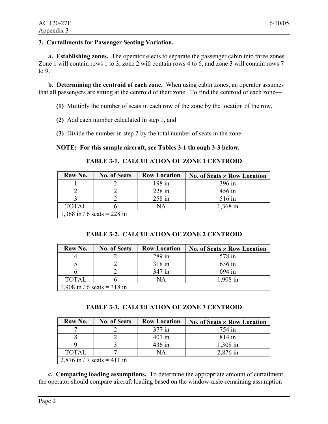#### <span id="page-51-0"></span>**3. Curtailments for Passenger Seating Variation.**

**a. Establishing zones.** The operator elects to separate the passenger cabin into three zones. Zone 1 will contain rows 1 to 3, zone 2 will contain rows 4 to 6, and zone 3 will contain rows 7 to 9.

**b. Determining the centroid of each zone.** When using cabin zones, an operator assumes that all passengers are sitting at the centroid of their zone. To find the centroid of each zone—

- **(1)** Multiply the number of seats in each row of the zone by the location of the row,
- **(2)** Add each number calculated in step 1, and

**(3)** Divide the number in step 2 by the total number of seats in the zone.

#### **NOTE: For this sample aircraft, see Tables 3-1 through 3-3 below.**

|  |  |  |  | <b>TABLE 3-1. CALCULATION OF ZONE 1 CENTROID</b> |
|--|--|--|--|--------------------------------------------------|
|--|--|--|--|--------------------------------------------------|

| Row No.                     | <b>No. of Seats</b> | <b>Row Location</b> | No. of Seats $\times$ Row Location |  |  |  |
|-----------------------------|---------------------|---------------------|------------------------------------|--|--|--|
|                             |                     | 198 in              | $396$ in                           |  |  |  |
|                             |                     | $228$ in            | $456$ in                           |  |  |  |
|                             |                     | 258 in              | 516 in                             |  |  |  |
| <b>TOTAL</b>                |                     | NΑ                  | 1,368 in                           |  |  |  |
| 1,368 in / 6 seats = 228 in |                     |                     |                                    |  |  |  |

|  |  |  |  | <b>TABLE 3-2. CALCULATION OF ZONE 2 CENTROID</b> |
|--|--|--|--|--------------------------------------------------|
|--|--|--|--|--------------------------------------------------|

| Row No.      | <b>No. of Seats</b>         | <b>Row Location</b> | No. of Seats $\times$ Row Location |
|--------------|-----------------------------|---------------------|------------------------------------|
|              |                             | 289 in              | 578 in                             |
|              |                             | 318 in              | $636$ in                           |
|              |                             | 347 in              | $694$ in                           |
| <b>TOTAL</b> |                             | NA                  | 1,908 in                           |
|              | 1,908 in / 6 seats = 318 in |                     |                                    |

#### **TABLE 3-3. CALCULATION OF ZONE 3 CENTROID**

| Row No.                     | <b>No. of Seats</b> | <b>Row Location</b> | No. of Seats $\times$ Row Location |  |  |
|-----------------------------|---------------------|---------------------|------------------------------------|--|--|
|                             |                     | $377$ in            | 754 in                             |  |  |
|                             |                     | $407$ in            | $814$ in                           |  |  |
|                             |                     | 436 in              | 1,308 in                           |  |  |
| <b>TOTAL</b>                |                     | NA                  | 2,876 in                           |  |  |
| 2,876 in / 7 seats = 411 in |                     |                     |                                    |  |  |

**c. Comparing loading assumptions.** To determine the appropriate amount of curtailment, the operator should compare aircraft loading based on the window-aisle-remaining assumption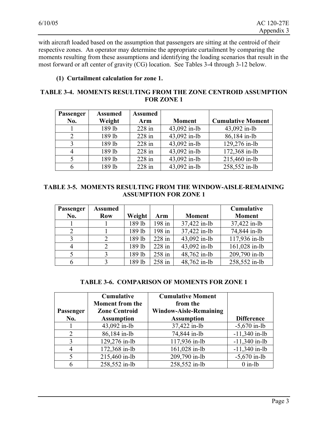<span id="page-52-0"></span>with aircraft loaded based on the assumption that passengers are sitting at the centroid of their respective zones. An operator may determine the appropriate curtailment by comparing the moments resulting from these assumptions and identifying the loading scenarios that result in the most forward or aft center of gravity (CG) location. See Tables 3-4 through 3-12 below.

#### **(1) Curtailment calculation for zone 1.**

#### **TABLE 3-4. MOMENTS RESULTING FROM THE ZONE CENTROID ASSUMPTION FOR ZONE 1**

| <b>Passenger</b> | <b>Assumed</b> | <b>Assumed</b> |               |                          |
|------------------|----------------|----------------|---------------|--------------------------|
| No.              | Weight         | Arm            | <b>Moment</b> | <b>Cumulative Moment</b> |
|                  | 189 lb         | $228$ in       | 43,092 in-lb  | 43,092 in-lb             |
|                  | 189 lb         | $228$ in       | 43,092 in-lb  | 86,184 in-lb             |
| $\mathbf 3$      | 189 lb         | $228$ in       | 43,092 in-lb  | 129,276 in-lb            |
| $\overline{4}$   | 189 lb         | $228$ in       | 43,092 in-lb  | 172,368 in-lb            |
|                  | 189 lb         | $228$ in       | 43,092 in-lb  | 215,460 in-lb            |
|                  | 189 lb         | $228$ in       | 43,092 in-lb  | 258,552 in-lb            |

#### **TABLE 3-5. MOMENTS RESULTING FROM THE WINDOW-AISLE-REMAINING ASSUMPTION FOR ZONE 1**

| <b>Passenger</b> | <b>Assumed</b> |        |          |               | Cumulative    |
|------------------|----------------|--------|----------|---------------|---------------|
| No.              | <b>Row</b>     | Weight | Arm      | <b>Moment</b> | <b>Moment</b> |
|                  |                | 189 lb | $198$ in | 37,422 in-lb  | 37,422 in-lb  |
|                  |                | 189 lb | $198$ in | 37,422 in-lb  | 74,844 in-lb  |
|                  |                | 189 lb | $228$ in | 43,092 in-lb  | 117,936 in-lb |
|                  |                | 189 lb | $228$ in | 43,092 in-lb  | 161,028 in-lb |
|                  |                | 189 lb | $258$ in | 48,762 in-lb  | 209,790 in-lb |
|                  |                | 189 lb | $258$ in | 48,762 in-lb  | 258,552 in-lb |

#### **TABLE 3-6. COMPARISON OF MOMENTS FOR ZONE 1**

| <b>Passenger</b>            | <b>Cumulative</b><br><b>Moment from the</b><br><b>Zone Centroid</b> | <b>Cumulative Moment</b><br>from the<br><b>Window-Aisle-Remaining</b> |                   |
|-----------------------------|---------------------------------------------------------------------|-----------------------------------------------------------------------|-------------------|
| No.                         | <b>Assumption</b>                                                   | <b>Assumption</b>                                                     | <b>Difference</b> |
|                             | 43,092 in-lb                                                        | 37,422 in-lb                                                          | $-5,670$ in-lb    |
| $\mathcal{D}_{\mathcal{L}}$ | 86,184 in-lb                                                        | 74,844 in-lb                                                          | $-11,340$ in-lb   |
| $\mathbf{3}$                | 129,276 in-lb                                                       | 117,936 in-lb                                                         | $-11,340$ in-lb   |
| 4                           | 172,368 in-lb                                                       | 161,028 in-lb                                                         | $-11,340$ in-lb   |
| 5                           | 215,460 in-lb                                                       | 209,790 in-lb                                                         | $-5,670$ in-lb    |
|                             | 258,552 in-lb                                                       | 258,552 in-lb                                                         | $0$ in- $lb$      |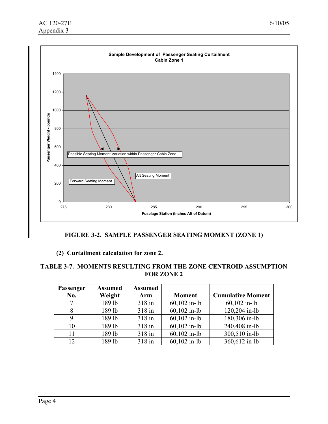<span id="page-53-0"></span>

# **FIGURE 3-2. SAMPLE PASSENGER SEATING MOMENT (ZONE 1)**

#### **(2) Curtailment calculation for zone 2.**

# **TABLE 3-7. MOMENTS RESULTING FROM THE ZONE CENTROID ASSUMPTION FOR ZONE 2**

| Passenger | <b>Assumed</b> | <b>Assumed</b> |               |                          |
|-----------|----------------|----------------|---------------|--------------------------|
| No.       | Weight         | Arm            | <b>Moment</b> | <b>Cumulative Moment</b> |
|           | 189 lb         | 318 in         | 60,102 in-lb  | $60,102$ in-lb           |
| 8         | 189 lb         | 318 in         | 60,102 in-lb  | 120,204 in-lb            |
| 9         | 189 lb         | 318 in         | 60,102 in-lb  | 180,306 in-lb            |
| 10        | 189 lb         | 318 in         | 60,102 in-lb  | 240,408 in-lb            |
| 11        | 189 lb         | 318 in         | 60,102 in-lb  | 300,510 in-lb            |
| 12        | 189 lb         | 318 in         | 60,102 in-lb  | 360,612 in-lb            |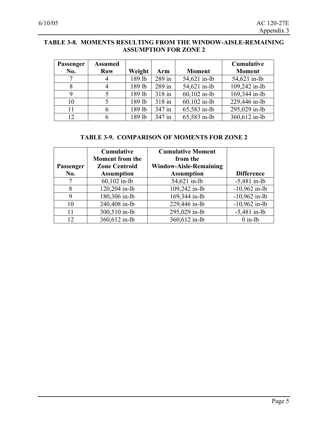# <span id="page-54-0"></span>**TABLE 3-8. MOMENTS RESULTING FROM THE WINDOW-AISLE-REMAINING ASSUMPTION FOR ZONE 2**

| Passenger | <b>Assumed</b> |        |          |               | Cumulative    |
|-----------|----------------|--------|----------|---------------|---------------|
| No.       | <b>Row</b>     | Weight | Arm      | <b>Moment</b> | <b>Moment</b> |
|           | 4              | 189 lb | 289 in   | 54,621 in-lb  | 54,621 in-lb  |
|           |                | 189 lb | 289 in   | 54,621 in-lb  | 109,242 in-lb |
|           |                | 189 lb | $318$ in | 60,102 in-lb  | 169,344 in-lb |
| 10        |                | 189 lb | $318$ in | 60,102 in-lb  | 229,446 in-lb |
| 11        | 6              | 189 lb | 347 in   | 65,583 in-lb  | 295,029 in-lb |
| 12        |                | 189 lb | 347 in   | 65,583 in-lb  | 360,612 in-lb |

# **TABLE 3-9. COMPARISON OF MOMENTS FOR ZONE 2**

|                  | Cumulative             | <b>Cumulative Moment</b>      |                   |
|------------------|------------------------|-------------------------------|-------------------|
|                  | <b>Moment from the</b> | from the                      |                   |
| <b>Passenger</b> | <b>Zone Centroid</b>   | <b>Window-Aisle-Remaining</b> |                   |
| No.              | <b>Assumption</b>      | <b>Assumption</b>             | <b>Difference</b> |
|                  | 60,102 in-lb           | 54,621 in-lb                  | $-5,481$ in-lb    |
| 8                | 120,204 in-lb          | 109,242 in-lb                 | $-10,962$ in-lb   |
| 9                | 180,306 in-lb          | 169,344 in-lb                 | $-10,962$ in-lb   |
| 10               | 240,408 in-lb          | 229,446 in-lb                 | $-10,962$ in-lb   |
| 11               | 300,510 in-lb          | 295,029 in-lb                 | $-5,481$ in-lb    |
| 12               | 360,612 in-lb          | 360,612 in-lb                 | $0$ in- $lb$      |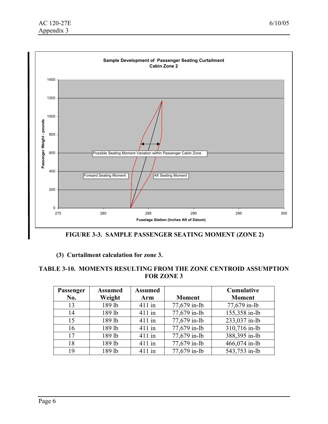<span id="page-55-0"></span>

 **FIGURE 3-3. SAMPLE PASSENGER SEATING MOMENT (ZONE 2)** 

**(3) Curtailment calculation for zone 3.** 

| <b>TABLE 3-10. MOMENTS RESULTING FROM THE ZONE CENTROID ASSUMPTION</b> |  |
|------------------------------------------------------------------------|--|
| <b>FOR ZONE 3</b>                                                      |  |

| Passenger | <b>Assumed</b> | <b>Assumed</b> |               | <b>Cumulative</b> |
|-----------|----------------|----------------|---------------|-------------------|
| No.       | Weight         | Arm            | <b>Moment</b> | <b>Moment</b>     |
| 13        | 189 lb         | $411$ in       | 77,679 in-lb  | 77,679 in-lb      |
| 14        | 189 lb         | $411$ in       | 77,679 in-lb  | 155,358 in-lb     |
| 15        | 189 lb         | $411$ in       | 77,679 in-lb  | 233,037 in-lb     |
| 16        | 189 lb         | $411$ in       | 77,679 in-lb  | 310,716 in-lb     |
| 17        | 189 lb         | $411$ in       | 77,679 in-lb  | 388,395 in-lb     |
| 18        | 189 lb         | $411$ in       | 77,679 in-lb  | 466,074 in-lb     |
| 19        | 189 lb         | 411 in         | 77,679 in-lb  | 543,753 in-lb     |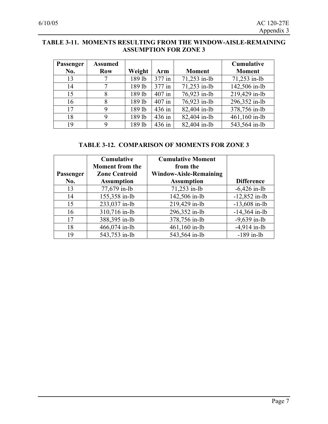# <span id="page-56-0"></span>**TABLE 3-11. MOMENTS RESULTING FROM THE WINDOW-AISLE-REMAINING ASSUMPTION FOR ZONE 3**

| Passenger | <b>Assumed</b> |        |          |               | <b>Cumulative</b> |
|-----------|----------------|--------|----------|---------------|-------------------|
| No.       | <b>Row</b>     | Weight | Arm      | <b>Moment</b> | <b>Moment</b>     |
| 13        |                | 189 lb | 377 in   | 71,253 in-lb  | 71,253 in-lb      |
| 14        |                | 189 lb | $377$ in | 71,253 in-lb  | 142,506 in-lb     |
| 15        | 8              | 189 lb | $407$ in | 76,923 in-lb  | 219,429 in-lb     |
| 16        |                | 189 lb | $407$ in | 76,923 in-lb  | 296,352 in-lb     |
| 17        | 9              | 189 lb | 436 in   | 82,404 in-lb  | 378,756 in-lb     |
| 18        | 9              | 189 lb | 436 in   | 82,404 in-lb  | 461,160 in-lb     |
| 19        | 9              | 189 lb | 436 in   | 82,404 in-lb  | 543,564 in-lb     |

# **TABLE 3-12. COMPARISON OF MOMENTS FOR ZONE 3**

|                  | Cumulative             | <b>Cumulative Moment</b>      |                   |
|------------------|------------------------|-------------------------------|-------------------|
|                  | <b>Moment from the</b> | from the                      |                   |
| <b>Passenger</b> | <b>Zone Centroid</b>   | <b>Window-Aisle-Remaining</b> |                   |
| No.              | <b>Assumption</b>      | <b>Assumption</b>             | <b>Difference</b> |
| 13               | 77,679 in-lb           | 71,253 in-lb                  | $-6,426$ in-lb    |
| 14               | 155,358 in-lb          | 142,506 in-lb                 | $-12,852$ in-lb   |
| 15               | 233,037 in-lb          | 219,429 in-lb                 | $-13,608$ in-lb   |
| 16               | 310,716 in-lb          | 296,352 in-lb                 | $-14,364$ in-lb   |
| 17               | 388,395 in-lb          | 378,756 in-lb                 | $-9,639$ in-lb    |
| 18               | 466,074 in-lb          | 461,160 in-lb                 | $-4,914$ in-lb    |
| 19               | 543,753 in-lb          | 543,564 in-lb                 | $-189$ in-lb      |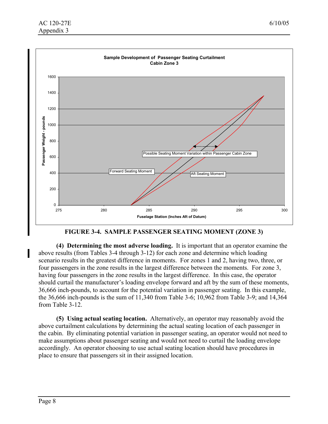<span id="page-57-0"></span>

# **FIGURE 3-4. SAMPLE PASSENGER SEATING MOMENT (ZONE 3)**

**(4) Determining the most adverse loading.** It is important that an operator examine the above results (from Tables 3-4 through 3-12) for each zone and determine which loading scenario results in the greatest difference in moments. For zones 1 and 2, having two, three, or four passengers in the zone results in the largest difference between the moments. For zone 3, having four passengers in the zone results in the largest difference. In this case, the operator should curtail the manufacturer's loading envelope forward and aft by the sum of these moments, 36,666 inch-pounds, to account for the potential variation in passenger seating. In this example, the 36,666 inch-pounds is the sum of 11,340 from Table 3-6; 10,962 from Table 3-9; and 14,364 from Table 3-12.

**(5) Using actual seating location.** Alternatively, an operator may reasonably avoid the above curtailment calculations by determining the actual seating location of each passenger in the cabin. By eliminating potential variation in passenger seating, an operator would not need to make assumptions about passenger seating and would not need to curtail the loading envelope accordingly. An operator choosing to use actual seating location should have procedures in place to ensure that passengers sit in their assigned location.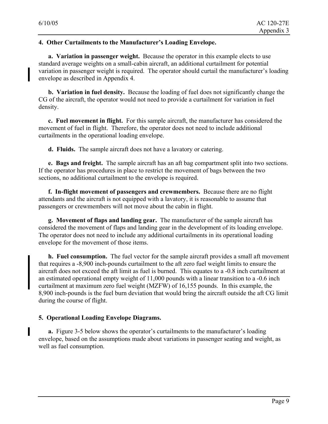#### <span id="page-58-0"></span>**4. Other Curtailments to the Manufacturer's Loading Envelope.**

**a. Variation in passenger weight.** Because the operator in this example elects to use standard average weights on a small-cabin aircraft, an additional curtailment for potential variation in passenger weight is required. The operator should curtail the manufacturer's loading envelope as described in Appendix 4.

**b. Variation in fuel density.** Because the loading of fuel does not significantly change the CG of the aircraft, the operator would not need to provide a curtailment for variation in fuel density.

**c. Fuel movement in flight.** For this sample aircraft, the manufacturer has considered the movement of fuel in flight. Therefore, the operator does not need to include additional curtailments in the operational loading envelope.

**d. Fluids.** The sample aircraft does not have a lavatory or catering.

**e. Bags and freight.** The sample aircraft has an aft bag compartment split into two sections. If the operator has procedures in place to restrict the movement of bags between the two sections, no additional curtailment to the envelope is required.

**f. In-flight movement of passengers and crewmembers.** Because there are no flight attendants and the aircraft is not equipped with a lavatory, it is reasonable to assume that passengers or crewmembers will not move about the cabin in flight.

**g. Movement of flaps and landing gear.** The manufacturer of the sample aircraft has considered the movement of flaps and landing gear in the development of its loading envelope. The operator does not need to include any additional curtailments in its operational loading envelope for the movement of those items.

**h. Fuel consumption.** The fuel vector for the sample aircraft provides a small aft movement that requires a -8,900 inch-pounds curtailment to the aft zero fuel weight limits to ensure the aircraft does not exceed the aft limit as fuel is burned. This equates to a -0.8 inch curtailment at an estimated operational empty weight of 11,000 pounds with a linear transition to a -0.6 inch curtailment at maximum zero fuel weight (MZFW) of 16,155 pounds. In this example, the 8,900 inch-pounds is the fuel burn deviation that would bring the aircraft outside the aft CG limit during the course of flight.

#### **5. Operational Loading Envelope Diagrams.**

Ι

**a.** Figure 3-5 below shows the operator's curtailments to the manufacturer's loading envelope, based on the assumptions made about variations in passenger seating and weight, as well as fuel consumption.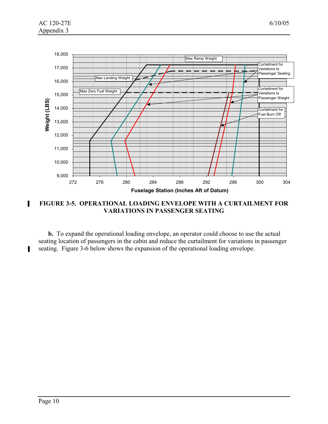<span id="page-59-0"></span>

 $\blacksquare$ **FIGURE 3-5. OPERATIONAL LOADING ENVELOPE WITH A CURTAILMENT FOR VARIATIONS IN PASSENGER SEATING** 

**b.** To expand the operational loading envelope, an operator could choose to use the actual seating location of passengers in the cabin and reduce the curtailment for variations in passenger seating. Figure 3-6 below shows the expansion of the operational loading envelope.

П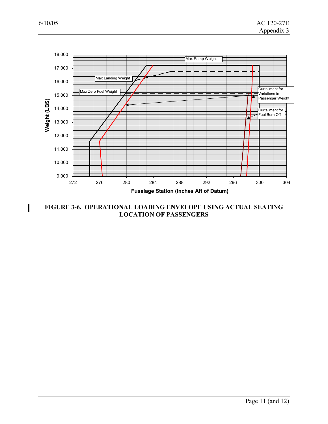ı

<span id="page-60-0"></span>

**FIGURE 3-6. OPERATIONAL LOADING ENVELOPE USING ACTUAL SEATING LOCATION OF PASSENGERS**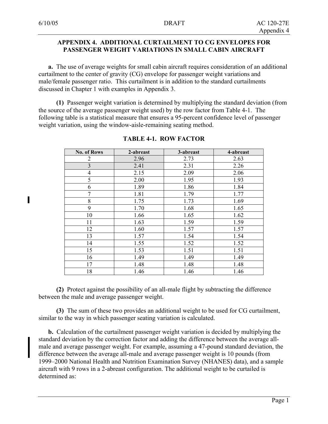# <span id="page-62-0"></span>**APPENDIX 4. ADDITIONAL CURTAILMENT TO CG ENVELOPES FOR PASSENGER WEIGHT VARIATIONS IN SMALL CABIN AIRCRAFT**

**a.** The use of average weights for small cabin aircraft requires consideration of an additional curtailment to the center of gravity (CG) envelope for passenger weight variations and male/female passenger ratio. This curtailment is in addition to the standard curtailments discussed in Chapter 1 with examples in Appendix 3.

**(1)** Passenger weight variation is determined by multiplying the standard deviation (from the source of the average passenger weight used) by the row factor from Table 4-1. The following table is a statistical measure that ensures a 95-percent confidence level of passenger weight variation, using the window-aisle-remaining seating method.

| <b>No. of Rows</b> | 2-abreast | 3-abreast | 4-abreast |
|--------------------|-----------|-----------|-----------|
| 2                  | 2.96      | 2.73      | 2.63      |
| 3                  | 2.41      | 2.31      | 2.26      |
| $\overline{4}$     | 2.15      | 2.09      | 2.06      |
| 5                  | 2.00      | 1.95      | 1.93      |
| 6                  | 1.89      | 1.86      | 1.84      |
| $\overline{7}$     | 1.81      | 1.79      | 1.77      |
| 8                  | 1.75      | 1.73      | 1.69      |
| 9                  | 1.70      | 1.68      | 1.65      |
| 10                 | 1.66      | 1.65      | 1.62      |
| 11                 | 1.63      | 1.59      | 1.59      |
| 12                 | 1.60      | 1.57      | 1.57      |
| 13                 | 1.57      | 1.54      | 1.54      |
| 14                 | 1.55      | 1.52      | 1.52      |
| 15                 | 1.53      | 1.51      | 1.51      |
| 16                 | 1.49      | 1.49      | 1.49      |
| 17                 | 1.48      | 1.48      | 1.48      |
| 18                 | 1.46      | 1.46      | 1.46      |

# **TABLE 4-1. ROW FACTOR**

**(2)** Protect against the possibility of an all-male flight by subtracting the difference between the male and average passenger weight.

**(3)** The sum of these two provides an additional weight to be used for CG curtailment, similar to the way in which passenger seating variation is calculated.

**b.** Calculation of the curtailment passenger weight variation is decided by multiplying the standard deviation by the correction factor and adding the difference between the average allmale and average passenger weight. For example, assuming a 47-pound standard deviation, the difference between the average all-male and average passenger weight is 10 pounds (from 1999–2000 National Health and Nutrition Examination Survey (NHANES) data), and a sample aircraft with 9 rows in a 2-abreast configuration. The additional weight to be curtailed is determined as: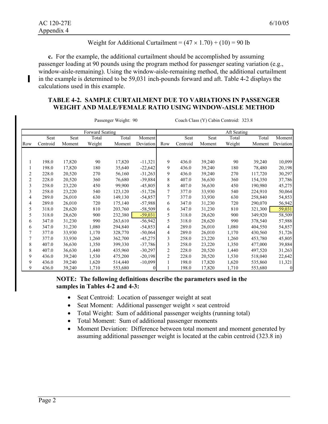$\blacksquare$ 

# Weight for Additional Curtailment =  $(47 \times 1.70) + (10) = 90$  lb

<span id="page-63-0"></span>**c.** For the example, the additional curtailment should be accomplished by assuming passenger loading at 90 pounds using the program method for passenger seating variation (e.g., window-aisle-remaining). Using the window-aisle-remaining method, the additional curtailment in the example is determined to be 59,031 inch-pounds forward and aft. Table 4-2 displays the calculations used in this example.

# **TABLE 4-2. SAMPLE CURTAILMENT DUE TO VARIATIONS IN PASSENGER WEIGHT AND MALE/FEMALE RATIO USING WINDOW-AISLE METHOD**

|                        | Passenger Weight: 90 |        |        |         |           | Coach Class (Y) Cabin Centroid: 323.8 |          |        |        |         |                |
|------------------------|----------------------|--------|--------|---------|-----------|---------------------------------------|----------|--------|--------|---------|----------------|
| <b>Forward Seating</b> |                      |        |        |         |           | Aft Seating                           |          |        |        |         |                |
|                        | Seat                 | Seat   | Total  | Total   | Moment    |                                       | Seat     | Seat   | Total  | Total   | Moment         |
| Row                    | Centroid             | Moment | Weight | Moment  | Deviation | Row                                   | Centroid | Moment | Weight | Moment  | Deviation      |
|                        |                      |        |        |         |           |                                       |          |        |        |         |                |
|                        | 198.0                | 17,820 | 90     | 17,820  | $-11,321$ | 9                                     | 436.0    | 39,240 | 90     | 39,240  | 10,099         |
|                        | 198.0                | 17,820 | 180    | 35,640  | $-22,642$ | 9                                     | 436.0    | 39,240 | 180    | 78,480  | 20,198         |
| 2                      | 228.0                | 20,520 | 270    | 56,160  | $-31,263$ | 9                                     | 436.0    | 39,240 | 270    | 117,720 | 30,297         |
| $\overline{c}$         | 228.0                | 20,520 | 360    | 76,680  | $-39,884$ | 8                                     | 407.0    | 36,630 | 360    | 154,350 | 37,786         |
| 3                      | 258.0                | 23,220 | 450    | 99,900  | $-45,805$ | 8                                     | 407.0    | 36,630 | 450    | 190,980 | 45,275         |
| 3                      | 258.0                | 23,220 | 540    | 123,120 | $-51,726$ | 7                                     | 377.0    | 33,930 | 540    | 224,910 | 50,064         |
| 4                      | 289.0                | 26,010 | 630    | 149,130 | $-54,857$ | 7                                     | 377.0    | 33,930 | 630    | 258,840 | 54,853         |
| 4                      | 289.0                | 26,010 | 720    | 175,140 | $-57,988$ | 6                                     | 347.0    | 31,230 | 720    | 290,070 | 56,942         |
| 5                      | 318.0                | 28,620 | 810    | 203,760 | $-58,509$ | 6                                     | 347.0    | 31,230 | 810    | 321,300 | 59,031         |
| 5                      | 318.0                | 28,620 | 900    | 232,380 | $-59,031$ | 5                                     | 318.0    | 28,620 | 900    | 349,920 | 58,509         |
| 6                      | 347.0                | 31,230 | 990    | 263,610 | $-56,942$ | 5                                     | 318.0    | 28,620 | 990    | 378,540 | 57,988         |
| 6                      | 347.0                | 31,230 | 1,080  | 294,840 | $-54,853$ | 4                                     | 289.0    | 26,010 | 1,080  | 404,550 | 54,857         |
|                        | 377.0                | 33,930 | 1,170  | 328,770 | $-50,064$ | 4                                     | 289.0    | 26,010 | 1,170  | 430,560 | 51,726         |
|                        | 377.0                | 33,930 | 1,260  | 362,700 | $-45,275$ | 3                                     | 258.0    | 23,220 | 1,260  | 453,780 | 45,805         |
| 8                      | 407.0                | 36,630 | 1,350  | 399,330 | $-37,786$ | 3                                     | 258.0    | 23,220 | 1,350  | 477,000 | 39,884         |
| 8                      | 407.0                | 36,630 | 1,440  | 435,960 | $-30,297$ | 2                                     | 228.0    | 20,520 | 1,440  | 497,520 | 31,263         |
| 9                      | 436.0                | 39,240 | 1,530  | 475,200 | $-20,198$ | 2                                     | 228.0    | 20,520 | 1,530  | 518,040 | 22,642         |
| 9                      | 436.0                | 39,240 | 1,620  | 514,440 | $-10,099$ |                                       | 198.0    | 17,820 | 1,620  | 535,860 | 11,321         |
| 9                      | 436.0                | 39,240 | 1,710  | 553,680 | 0         |                                       | 198.0    | 17,820 | 1,710  | 553,680 | $\overline{0}$ |

#### **NOTE: The following definitions describe the parameters used in the samples in Tables 4-2 and 4-3:**

- Seat Centroid: Location of passenger weight at seat
- Seat Moment: Additional passenger weight  $\times$  seat centroid
- Total Weight: Sum of additional passenger weights (running total)
- Total Moment: Sum of additional passenger moments
- Moment Deviation: Difference between total moment and moment generated by assuming additional passenger weight is located at the cabin centroid (323.8 in)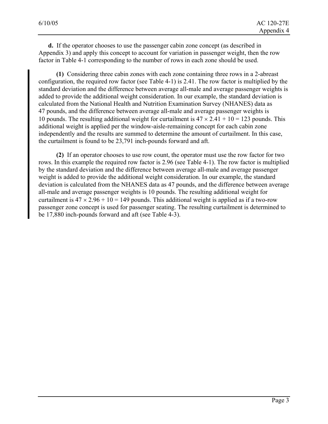**d.** If the operator chooses to use the passenger cabin zone concept (as described in Appendix 3) and apply this concept to account for variation in passenger weight, then the row factor in Table 4-1 corresponding to the number of rows in each zone should be used.

**(1)** Considering three cabin zones with each zone containing three rows in a 2-abreast configuration, the required row factor (see Table 4-1) is 2.41. The row factor is multiplied by the standard deviation and the difference between average all-male and average passenger weights is added to provide the additional weight consideration. In our example, the standard deviation is calculated from the National Health and Nutrition Examination Survey (NHANES) data as 47 pounds, and the difference between average all-male and average passenger weights is 10 pounds. The resulting additional weight for curtailment is  $47 \times 2.41 + 10 = 123$  pounds. This additional weight is applied per the window-aisle-remaining concept for each cabin zone independently and the results are summed to determine the amount of curtailment. In this case, the curtailment is found to be 23,791 inch-pounds forward and aft.

**(2)** If an operator chooses to use row count, the operator must use the row factor for two rows. In this example the required row factor is 2.96 (see Table 4-1). The row factor is multiplied by the standard deviation and the difference between average all-male and average passenger weight is added to provide the additional weight consideration. In our example, the standard deviation is calculated from the NHANES data as 47 pounds, and the difference between average all-male and average passenger weights is 10 pounds. The resulting additional weight for curtailment is  $47 \times 2.96 + 10 = 149$  pounds. This additional weight is applied as if a two-row passenger zone concept is used for passenger seating. The resulting curtailment is determined to be 17,880 inch-pounds forward and aft (see Table 4-3).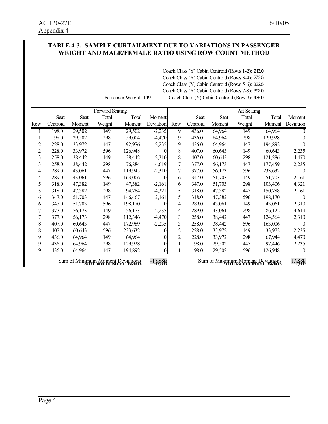Coach Class (Y) Cabin Centroid (Rows 1-2): 213.0 Coach Class (Y) Cabin Centroid (Rows 3-4): 273.5 Coach Class (Y) Cabin Centroid (Rows 5-6): 332.5 Coach Class (Y) Cabin Centroid (Rows 7-8): 392.0 Passenger Weight: 149 Coach Class (Y) Cabin Centroid (Row 9): 436.0

<span id="page-65-0"></span>

|     | Forward Seating |        |        |         |                 |                | Aft Seating |        |        |         |                |
|-----|-----------------|--------|--------|---------|-----------------|----------------|-------------|--------|--------|---------|----------------|
|     | Seat            | Seat   | Total  | Total   | Moment          |                | Seat        | Seat   | Total  | Total   | Moment         |
| Row | Centroid        | Moment | Weight | Moment  | Deviation       | Row            | Centroid    | Moment | Weight | Moment  | Deviation      |
|     | 198.0           | 29,502 | 149    | 29,502  | $-2,235$        | 9              | 436.0       | 64,964 | 149    | 64,964  |                |
|     | 198.0           | 29,502 | 298    | 59,004  | $-4,470$        | 9              | 436.0       | 64,964 | 298    | 129,928 | 0              |
| 2   | 228.0           | 33,972 | 447    | 92,976  | $-2,235$        | 9              | 436.0       | 64,964 | 447    | 194,892 | $\theta$       |
| 2   | 228.0           | 33,972 | 596    | 126,948 | $\theta$        | 8              | 407.0       | 60,643 | 149    | 60,643  | 2,235          |
| 3   | 258.0           | 38,442 | 149    | 38,442  | $-2,310$        | 8              | 407.0       | 60,643 | 298    | 121,286 | 4,470          |
| 3   | 258.0           | 38,442 | 298    | 76,884  | $-4,619$        | 7              | 377.0       | 56,173 | 447    | 177,459 | 2,235          |
| 4   | 289.0           | 43,061 | 447    | 119,945 | $-2,310$        | 7              | 377.0       | 56,173 | 596    | 233,632 | $\theta$       |
| 4   | 289.0           | 43,061 | 596    | 163,006 | $\theta$        | 6              | 347.0       | 51,703 | 149    | 51,703  | 2,161          |
| 5   | 318.0           | 47,382 | 149    | 47,382  | $-2,161$        | 6              | 347.0       | 51,703 | 298    | 103,406 | 4,321          |
| 5   | 318.0           | 47,382 | 298    | 94,764  | $-4,321$        | 5              | 318.0       | 47,382 | 447    | 150,788 | 2,161          |
| 6   | 347.0           | 51,703 | 447    | 146,467 | $-2,161$        | 5              | 318.0       | 47,382 | 596    | 198,170 | $\overline{0}$ |
| 6   | 347.0           | 51,703 | 596    | 198,170 | $\vert 0 \vert$ | 4              | 289.0       | 43,061 | 149    | 43,061  | 2,310          |
|     | 377.0           | 56,173 | 149    | 56,173  | $-2,235$        | 4              | 289.0       | 43,061 | 298    | 86,122  | 4,619          |
|     | 377.0           | 56,173 | 298    | 112,346 | $-4,470$        | 3              | 258.0       | 38,442 | 447    | 124,564 | 2,310          |
| 8   | 407.0           | 60,643 | 447    | 172,989 | $-2,235$        | 3              | 258.0       | 38,442 | 596    | 163,006 | $\theta$       |
| 8   | 407.0           | 60,643 | 596    | 233,632 |                 | 2              | 228.0       | 33,972 | 149    | 33,972  | 2,235          |
| 9   | 436.0           | 64,964 | 149    | 64,964  |                 | $\overline{c}$ | 228.0       | 33,972 | 298    | 67,944  | 4,470          |
| 9   | 436.0           | 64,964 | 298    | 129,928 |                 |                | 198.0       | 29,502 | 447    | 97,446  | 2,235          |
| 9   | 436.0           | 64,964 | 447    | 194,892 | $\Omega$        |                | 198.0       | 29,502 | 596    | 126,948 | $\theta$       |
|     |                 |        |        |         | $1 - 000$       |                |             |        |        |         | $-$ 000        |

Sum of Minimum Moment Deviations -17,880 Sum of Maximum Moment Deviations 17,880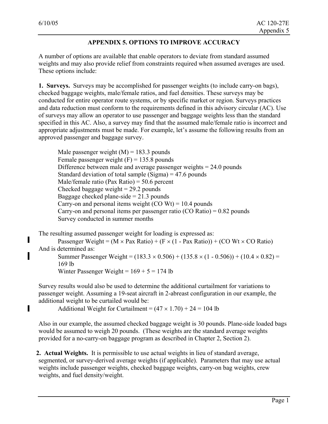I

I

# **APPENDIX 5. OPTIONS TO IMPROVE ACCURACY**

<span id="page-66-0"></span>A number of options are available that enable operators to deviate from standard assumed weights and may also provide relief from constraints required when assumed averages are used. These options include:

**1. Surveys.** Surveys may be accomplished for passenger weights (to include carry-on bags), checked baggage weights, male/female ratios, and fuel densities. These surveys may be conducted for entire operator route systems, or by specific market or region. Surveys practices and data reduction must conform to the requirements defined in this advisory circular (AC). Use of surveys may allow an operator to use passenger and baggage weights less than the standard specified in this AC. Also, a survey may find that the assumed male/female ratio is incorrect and appropriate adjustments must be made. For example, let's assume the following results from an approved passenger and baggage survey.

Male passenger weight  $(M) = 183.3$  pounds Female passenger weight  $(F) = 135.8$  pounds Difference between male and average passenger weights = 24.0 pounds Standard deviation of total sample  $(Sigma) = 47.6$  pounds Male/female ratio (Pax Ratio) =  $50.6$  percent Checked baggage weight  $= 29.2$  pounds Baggage checked plane-side  $= 21.3$  pounds Carry-on and personal items weight  $(CO Wt) = 10.4$  pounds Carry-on and personal items per passenger ratio  $(CO$  Ratio) = 0.82 pounds Survey conducted in summer months

The resulting assumed passenger weight for loading is expressed as:

Passenger Weight =  $(M \times \text{Pax Ratio}) + (F \times (1 - \text{Pax Ratio})) + (CO Wt \times CO Ratio)$ And is determined as: Summer Passenger Weight =  $(183.3 \times 0.506) + (135.8 \times (1 - 0.506)) + (10.4 \times 0.82) =$ 

169 lb

Winter Passenger Weight =  $169 + 5 = 174$  lb

Survey results would also be used to determine the additional curtailment for variations to passenger weight. Assuming a 19-seat aircraft in 2-abreast configuration in our example, the additional weight to be curtailed would be:

Additional Weight for Curtailment =  $(47 \times 1.70) + 24 = 104$  lb

Also in our example, the assumed checked baggage weight is 30 pounds. Plane-side loaded bags would be assumed to weigh 20 pounds. (These weights are the standard average weights provided for a no-carry-on baggage program as described in Chapter 2, Section 2).

**2. Actual Weights.** It is permissible to use actual weights in lieu of standard average, segmented, or survey-derived average weights (if applicable). Parameters that may use actual weights include passenger weights, checked baggage weights, carry-on bag weights, crew weights, and fuel density/weight.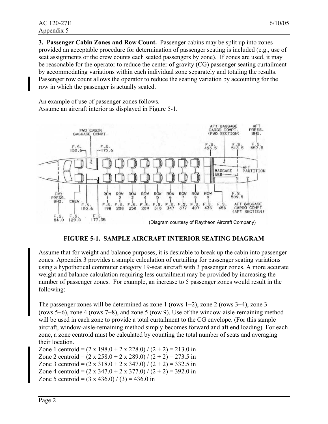<span id="page-67-0"></span>**3. Passenger Cabin Zones and Row Count.** Passenger cabins may be split up into zones provided an acceptable procedure for determination of passenger seating is included (e.g., use of seat assignments or the crew counts each seated passengers by zone). If zones are used, it may be reasonable for the operator to reduce the center of gravity (CG) passenger seating curtailment by accommodating variations within each individual zone separately and totaling the results. Passenger row count allows the operator to reduce the seating variation by accounting for the row in which the passenger is actually seated.

An example of use of passenger zones follows. Assume an aircraft interior as displayed in Figure 5-1.



# **FIGURE 5-1. SAMPLE AIRCRAFT INTERIOR SEATING DIAGRAM**

Assume that for weight and balance purposes, it is desirable to break up the cabin into passenger zones. Appendix 3 provides a sample calculation of curtailing for passenger seating variations using a hypothetical commuter category 19-seat aircraft with 3 passenger zones. A more accurate weight and balance calculation requiring less curtailment may be provided by increasing the number of passenger zones. For example, an increase to 5 passenger zones would result in the following:

The passenger zones will be determined as zone 1 (rows 1−2), zone 2 (rows 3−4), zone 3 (rows 5−6), zone 4 (rows 7−8), and zone 5 (row 9). Use of the window-aisle-remaining method will be used in each zone to provide a total curtailment to the CG envelope. (For this sample aircraft, window-aisle-remaining method simply becomes forward and aft end loading). For each zone, a zone centroid must be calculated by counting the total number of seats and averaging their location.

Zone 1 centroid =  $(2 \times 198.0 + 2 \times 228.0) / (2 + 2) = 213.0$  in Zone 2 centroid =  $(2 \times 258.0 + 2 \times 289.0) / (2 + 2) = 273.5$  in Zone 3 centroid =  $(2 \times 318.0 + 2 \times 347.0) / (2 + 2) = 332.5$  in Zone 4 centroid =  $(2 \times 347.0 + 2 \times 377.0) / (2 + 2) = 392.0$  in Zone 5 centroid =  $(3 \times 436.0) / (3) = 436.0$  in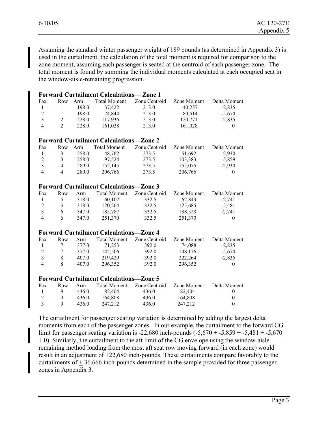Assuming the standard winter passenger weight of 189 pounds (as determined in Appendix 3) is used in the curtailment, the calculation of the total moment is required for comparison to the zone moment, assuming each passenger is seated at the centroid of each passenger zone. The total moment is found by summing the individual moments calculated at each occupied seat in the window-aisle-remaining progression.

|                  |                |       | <b>Forward Curtailment Calculations—Zone 1</b> |               |             |                  |
|------------------|----------------|-------|------------------------------------------------|---------------|-------------|------------------|
| Pax              | Row            | Arm   | <b>Total Moment</b>                            | Zone Centroid | Zone Moment | Delta Moment     |
| 1                | 1              | 198.0 | 37,422                                         | 213.0         | 40,257      | $-2,835$         |
| $\overline{c}$   | $\mathbf{1}$   | 198.0 | 74,844                                         | 213.0         | 80,514      | $-5,670$         |
| $\overline{3}$   | $\sqrt{2}$     | 228.0 | 117,936                                        | 213.0         | 120,771     | $-2,835$         |
| $\overline{4}$   | $\overline{2}$ | 228.0 | 161,028                                        | 213.0         | 161,028     | $\theta$         |
|                  |                |       | <b>Forward Curtailment Calculations-Zone 2</b> |               |             |                  |
| Pax              | Row            | Arm   | <b>Total Moment</b>                            | Zone Centroid | Zone Moment | Delta Moment     |
| 1                | $\mathfrak{Z}$ | 258.0 | 48,762                                         | 273.5         | 51,692      | $-2,930$         |
| $\overline{c}$   | 3              | 258.0 | 97,524                                         | 273.5         | 103,383     | $-5,859$         |
| 3                | $\overline{4}$ | 289.0 | 152,145                                        | 273.5         | 155,075     | $-2,930$         |
| $\overline{4}$   | $\overline{4}$ | 289.0 | 206,766                                        | 273.5         | 206,766     | $\theta$         |
|                  |                |       | <b>Forward Curtailment Calculations-Zone 3</b> |               |             |                  |
| Pax              | Row            | Arm   | <b>Total Moment</b>                            | Zone Centroid | Zone Moment | Delta Moment     |
| $\mathbf{1}$     | 5              | 318.0 | 60,102                                         | 332.5         | 62,843      | $-2,741$         |
| $\overline{c}$   | 5              | 318.0 | 120,204                                        | 332.5         | 125,685     | $-5,481$         |
| $\overline{3}$   | 6              | 347.0 | 185,787                                        | 332.5         | 188,528     | $-2,741$         |
| $\overline{4}$   | 6              | 347.0 | 251,370                                        | 332.5         | 251,370     | $\theta$         |
|                  |                |       | <b>Forward Curtailment Calculations-Zone 4</b> |               |             |                  |
| Pax              | Row            | Arm   | <b>Total Moment</b>                            | Zone Centroid | Zone Moment | Delta Moment     |
| $\mathbf{1}$     | 7              | 377.0 | 71,253                                         | 392.0         | 74,088      | $-2,835$         |
| $\boldsymbol{2}$ | $\overline{7}$ | 377.0 | 142,506                                        | 392.0         | 148,176     | $-5,670$         |
| $\overline{3}$   | $8\,$          | 407.0 | 219,429                                        | 392.0         | 222,264     | $-2,835$         |
| $\overline{4}$   | 8              | 407.0 | 296,352                                        | 392.0         | 296,352     | $\theta$         |
|                  |                |       | <b>Forward Curtailment Calculations-Zone 5</b> |               |             |                  |
| Pax              | Row            | Arm   | <b>Total Moment</b>                            | Zone Centroid | Zone Moment | Delta Moment     |
| 1                | 9              | 436.0 | 82,404                                         | 436.0         | 82,404      | $\boldsymbol{0}$ |
| $\overline{c}$   | 9              | 436.0 | 164,808                                        | 436.0         | 164,808     | $\boldsymbol{0}$ |
| 3                | 9              | 436.0 | 247,212                                        | 436.0         | 247,212     | $\boldsymbol{0}$ |

The curtailment for passenger seating variation is determined by adding the largest delta moments from each of the passenger zones. In our example, the curtailment to the forward CG limit for passenger seating variation is  $-22,680$  inch-pounds  $(-5,670 + -5,859 + -5,481 + -5,670$ + 0). Similarly, the curtailment to the aft limit of the CG envelope using the window-aisleremaining method loading from the most aft seat row moving forward (in each zone) would result in an adjustment of +22,680 inch-pounds. These curtailments compare favorably to the curtailments of + 36,666 inch-pounds determined in the sample provided for three passenger zones in Appendix 3.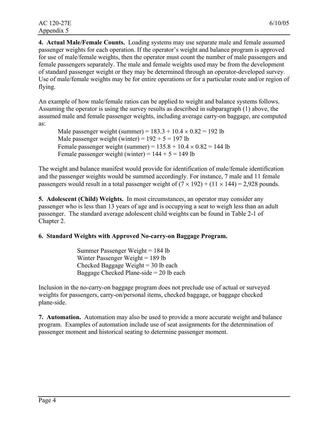**4. Actual Male/Female Counts.** Loading systems may use separate male and female assumed passenger weights for each operation. If the operator's weight and balance program is approved for use of male/female weights, then the operator must count the number of male passengers and female passengers separately. The male and female weights used may be from the development of standard passenger weight or they may be determined through an operator-developed survey. Use of male/female weights may be for entire operations or for a particular route and/or region of flying.

An example of how male/female ratios can be applied to weight and balance systems follows. Assuming the operator is using the survey results as described in subparagraph (1) above, the assumed male and female passenger weights, including average carry-on baggage, are computed as:

Male passenger weight (summer) =  $183.3 + 10.4 \times 0.82 = 192$  lb Male passenger weight (winter) =  $192 + 5 = 197$  lb Female passenger weight (summer) =  $135.8 + 10.4 \times 0.82 = 144$  lb Female passenger weight (winter) =  $144 + 5 = 149$  lb

The weight and balance manifest would provide for identification of male/female identification and the passenger weights would be summed accordingly. For instance, 7 male and 11 female passengers would result in a total passenger weight of  $(7 \times 192) + (11 \times 144) = 2,928$  pounds.

**5. Adolescent (Child) Weights.** In most circumstances, an operator may consider any passenger who is less than 13 years of age and is occupying a seat to weigh less than an adult passenger. The standard average adolescent child weights can be found in Table 2-1 of Chapter 2.

# **6. Standard Weights with Approved No-carry-on Baggage Program.**

Summer Passenger Weight = 184 lb Winter Passenger Weight = 189 lb Checked Baggage Weight  $=$  30 lb each Baggage Checked Plane-side = 20 lb each

Inclusion in the no-carry-on baggage program does not preclude use of actual or surveyed weights for passengers, carry-on/personal items, checked baggage, or baggage checked plane-side.

**7. Automation.** Automation may also be used to provide a more accurate weight and balance program. Examples of automation include use of seat assignments for the determination of passenger moment and historical seating to determine passenger moment.